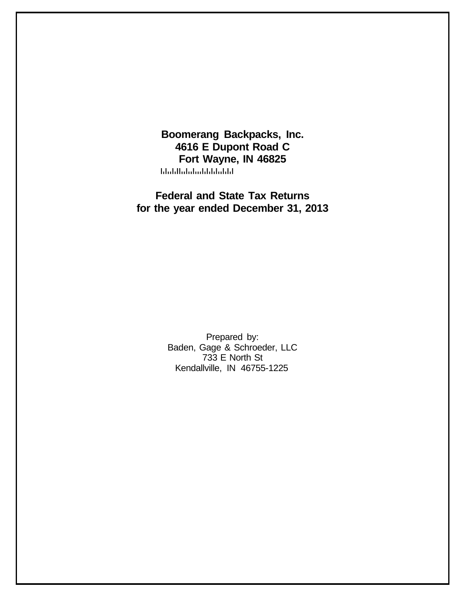**Boomerang Backpacks, Inc. 4616 E Dupont Road C Fort Wayne, IN 46825** المامانان المامانيا المامانا

**Federal and State Tax Returns for the year ended December 31, 2013**

> Prepared by: Baden, Gage & Schroeder, LLC 733 E North St Kendallville, IN 46755-1225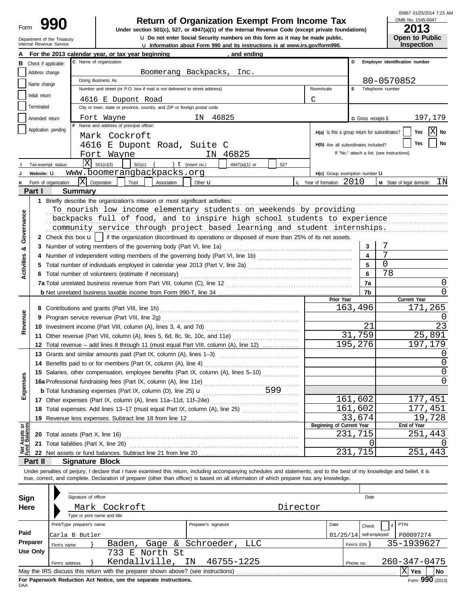## Department of the Treasury<br>Internal Revenue Service

## **990 2013**<br>
Under section 501(c), 527, or 4947(a)(1) of the Internal Revenue Code (except private foundations) **2013**

u **Information about Form 990 and its instructions is at www.irs.gov/form990.** Internal Revenue Service u **Do not enter Social Security numbers on this form as it may be made public. Open to Public**

65867 01/25/2014 7:23 AM

OMB No. 1545-0047

|                                |                 | Internal Revenue Service                                                           |                                                                                                                                                                                                                                 |                                                                                                                                                                            | La Information about Form 990 and its instructions is at www.irs.gov/form990. |     |                                               |                          | <b>Inspection</b>                          |
|--------------------------------|-----------------|------------------------------------------------------------------------------------|---------------------------------------------------------------------------------------------------------------------------------------------------------------------------------------------------------------------------------|----------------------------------------------------------------------------------------------------------------------------------------------------------------------------|-------------------------------------------------------------------------------|-----|-----------------------------------------------|--------------------------|--------------------------------------------|
|                                |                 |                                                                                    |                                                                                                                                                                                                                                 | For the 2013 calendar year, or tax year beginning                                                                                                                          | and ending                                                                    |     |                                               |                          |                                            |
| в                              |                 | Check if applicable:                                                               |                                                                                                                                                                                                                                 | C Name of organization                                                                                                                                                     |                                                                               |     |                                               | D                        | Employer identification number             |
|                                | Address change  |                                                                                    |                                                                                                                                                                                                                                 |                                                                                                                                                                            | Boomerang Backpacks,<br>Inc.                                                  |     |                                               |                          |                                            |
|                                |                 |                                                                                    |                                                                                                                                                                                                                                 | Doing Business As                                                                                                                                                          |                                                                               |     |                                               |                          | 80-0570852                                 |
|                                | Name change     |                                                                                    |                                                                                                                                                                                                                                 | Number and street (or P.O. box if mail is not delivered to street address)                                                                                                 |                                                                               |     | Room/suite                                    | E.                       | Telephone number                           |
|                                | Initial return  |                                                                                    |                                                                                                                                                                                                                                 | 4616 E Dupont Road                                                                                                                                                         |                                                                               |     | C                                             |                          |                                            |
|                                | Terminated      |                                                                                    |                                                                                                                                                                                                                                 | City or town, state or province, country, and ZIP or foreign postal code                                                                                                   |                                                                               |     |                                               |                          |                                            |
|                                |                 |                                                                                    |                                                                                                                                                                                                                                 |                                                                                                                                                                            |                                                                               |     |                                               |                          |                                            |
|                                | Amended return  |                                                                                    |                                                                                                                                                                                                                                 | Fort Wayne<br>F Name and address of principal officer:                                                                                                                     | 46825<br>IN                                                                   |     |                                               | G Gross receipts \$      | 197,179                                    |
|                                |                 | Application pending                                                                |                                                                                                                                                                                                                                 |                                                                                                                                                                            |                                                                               |     | H(a) Is this a group return for subordinates? |                          | IXI<br>Yes<br>No                           |
|                                |                 |                                                                                    |                                                                                                                                                                                                                                 | Mark Cockroft                                                                                                                                                              |                                                                               |     |                                               |                          |                                            |
|                                |                 |                                                                                    |                                                                                                                                                                                                                                 | 4616 E Dupont Road, Suite C                                                                                                                                                |                                                                               |     | H(b) Are all subordinates included?           |                          | No<br>Yes                                  |
|                                |                 |                                                                                    |                                                                                                                                                                                                                                 | Fort Wayne                                                                                                                                                                 | IN 46825                                                                      |     |                                               |                          | If "No," attach a list. (see instructions) |
|                                |                 | Tax-exempt status:                                                                 |                                                                                                                                                                                                                                 | $X = 501(c)(3)$<br>$501(c)$ (                                                                                                                                              | ) $t$ (insert no.)<br>4947(a)(1) or                                           | 527 |                                               |                          |                                            |
|                                | Website: U      |                                                                                    |                                                                                                                                                                                                                                 | www.boomerangbackpacks.org                                                                                                                                                 |                                                                               |     | H(c) Group exemption number LI                |                          |                                            |
|                                |                 | Form of organization:                                                              | X Corporation                                                                                                                                                                                                                   | Trust<br>Association                                                                                                                                                       | Other <b>u</b>                                                                |     | <b>L</b> Year of formation: $2010$            |                          | ΙN<br>M State of legal domicile:           |
|                                | Part I          |                                                                                    | <b>Summary</b>                                                                                                                                                                                                                  |                                                                                                                                                                            |                                                                               |     |                                               |                          |                                            |
|                                |                 |                                                                                    |                                                                                                                                                                                                                                 | Briefly describe the organization's mission or most significant activities:                                                                                                |                                                                               |     |                                               |                          |                                            |
|                                |                 |                                                                                    |                                                                                                                                                                                                                                 | To nourish low income elementary students on weekends by providing                                                                                                         |                                                                               |     |                                               |                          |                                            |
|                                |                 |                                                                                    |                                                                                                                                                                                                                                 | backpacks full of food, and to inspire high school students to experience                                                                                                  |                                                                               |     |                                               |                          |                                            |
| Governance                     |                 |                                                                                    |                                                                                                                                                                                                                                 | community service through project based learning and student internships.                                                                                                  |                                                                               |     |                                               |                          |                                            |
|                                |                 |                                                                                    |                                                                                                                                                                                                                                 |                                                                                                                                                                            |                                                                               |     |                                               |                          |                                            |
|                                |                 |                                                                                    |                                                                                                                                                                                                                                 | 2 Check this box $\mathbf{u}$   if the organization discontinued its operations or disposed of more than 25% of its net assets.                                            |                                                                               |     |                                               |                          |                                            |
| య                              |                 |                                                                                    |                                                                                                                                                                                                                                 | 3 Number of voting members of the governing body (Part VI, line 1a)                                                                                                        |                                                                               |     |                                               | 3                        |                                            |
|                                |                 |                                                                                    |                                                                                                                                                                                                                                 |                                                                                                                                                                            |                                                                               |     |                                               | 4                        | 7                                          |
| <b>Activities</b>              |                 |                                                                                    |                                                                                                                                                                                                                                 |                                                                                                                                                                            |                                                                               |     |                                               | 5                        | 0                                          |
|                                |                 |                                                                                    |                                                                                                                                                                                                                                 | 6 Total number of volunteers (estimate if necessary)                                                                                                                       |                                                                               |     |                                               | 6                        | 78                                         |
|                                |                 |                                                                                    |                                                                                                                                                                                                                                 |                                                                                                                                                                            |                                                                               |     |                                               | 7a                       | O                                          |
|                                |                 |                                                                                    |                                                                                                                                                                                                                                 |                                                                                                                                                                            |                                                                               |     |                                               | 7b                       | 0                                          |
|                                |                 |                                                                                    |                                                                                                                                                                                                                                 |                                                                                                                                                                            |                                                                               |     | Prior Year                                    |                          | Current Year                               |
|                                |                 |                                                                                    |                                                                                                                                                                                                                                 |                                                                                                                                                                            |                                                                               |     |                                               | 163,496                  | 171,265                                    |
| Revenue                        |                 |                                                                                    |                                                                                                                                                                                                                                 |                                                                                                                                                                            |                                                                               |     |                                               |                          |                                            |
|                                |                 |                                                                                    |                                                                                                                                                                                                                                 |                                                                                                                                                                            |                                                                               |     |                                               | 21                       | 23                                         |
|                                |                 |                                                                                    |                                                                                                                                                                                                                                 |                                                                                                                                                                            |                                                                               |     |                                               | 31,759                   | 25,891                                     |
|                                |                 |                                                                                    |                                                                                                                                                                                                                                 | 12 Total revenue – add lines 8 through 11 (must equal Part VIII, column (A), line 12)                                                                                      |                                                                               |     |                                               | 195,276                  | 197,179                                    |
|                                |                 |                                                                                    |                                                                                                                                                                                                                                 |                                                                                                                                                                            |                                                                               |     |                                               |                          | $\left( \right)$                           |
|                                |                 |                                                                                    | 13 Grants and similar amounts paid (Part IX, column (A), lines 1–3)<br>14 Benefits paid to or for members (Part IX, column (A), line 4)<br>15 Salaries, other compensation, employee benefits (Part IX, column (A), lines 5-10) |                                                                                                                                                                            |                                                                               |     |                                               |                          | O                                          |
|                                |                 |                                                                                    |                                                                                                                                                                                                                                 |                                                                                                                                                                            |                                                                               |     |                                               |                          | 0                                          |
| <b>ses</b>                     |                 |                                                                                    |                                                                                                                                                                                                                                 |                                                                                                                                                                            |                                                                               |     |                                               |                          |                                            |
|                                |                 | 16a Professional fundraising fees (Part IX, column (A), line 11e)                  |                                                                                                                                                                                                                                 |                                                                                                                                                                            |                                                                               |     |                                               |                          | 0                                          |
| Exper                          |                 | 599<br><b>b</b> Total fundraising expenses (Part IX, column (D), line 25) <b>u</b> |                                                                                                                                                                                                                                 |                                                                                                                                                                            |                                                                               |     |                                               |                          |                                            |
|                                |                 |                                                                                    |                                                                                                                                                                                                                                 | 17 Other expenses (Part IX, column (A), lines 11a-11d, 11f-24e)                                                                                                            |                                                                               |     |                                               | 161,602                  | 177,451                                    |
|                                |                 |                                                                                    |                                                                                                                                                                                                                                 | 18 Total expenses. Add lines 13-17 (must equal Part IX, column (A), line 25) [                                                                                             |                                                                               |     |                                               | 161,602                  | 177,451                                    |
|                                |                 |                                                                                    |                                                                                                                                                                                                                                 |                                                                                                                                                                            |                                                                               |     |                                               | 33,674                   | 19,728                                     |
| Net Assets or<br>Fund Balances |                 |                                                                                    |                                                                                                                                                                                                                                 |                                                                                                                                                                            |                                                                               |     | Beginning of Current Year                     |                          | End of Year                                |
|                                |                 |                                                                                    |                                                                                                                                                                                                                                 |                                                                                                                                                                            |                                                                               |     |                                               | 231,715                  | 251,443                                    |
|                                |                 |                                                                                    |                                                                                                                                                                                                                                 | 21 Total liabilities (Part X, line 26)                                                                                                                                     |                                                                               |     |                                               | 0                        |                                            |
|                                |                 |                                                                                    |                                                                                                                                                                                                                                 |                                                                                                                                                                            |                                                                               |     |                                               | 231,715                  | 251,443                                    |
|                                | Part II         |                                                                                    |                                                                                                                                                                                                                                 | <b>Signature Block</b>                                                                                                                                                     |                                                                               |     |                                               |                          |                                            |
|                                |                 |                                                                                    |                                                                                                                                                                                                                                 | Under penalties of perjury, I declare that I have examined this return, including accompanying schedules and statements, and to the best of my knowledge and belief, it is |                                                                               |     |                                               |                          |                                            |
|                                |                 |                                                                                    |                                                                                                                                                                                                                                 | true, correct, and complete. Declaration of preparer (other than officer) is based on all information of which preparer has any knowledge.                                 |                                                                               |     |                                               |                          |                                            |
|                                |                 |                                                                                    |                                                                                                                                                                                                                                 |                                                                                                                                                                            |                                                                               |     |                                               |                          |                                            |
| Sign                           |                 |                                                                                    | Signature of officer                                                                                                                                                                                                            |                                                                                                                                                                            |                                                                               |     |                                               | Date                     |                                            |
| Here                           |                 |                                                                                    |                                                                                                                                                                                                                                 | Mark Cockroft                                                                                                                                                              |                                                                               |     | Director                                      |                          |                                            |
|                                |                 |                                                                                    |                                                                                                                                                                                                                                 | Type or print name and title                                                                                                                                               |                                                                               |     |                                               |                          |                                            |
|                                |                 |                                                                                    | Print/Type preparer's name                                                                                                                                                                                                      |                                                                                                                                                                            | Preparer's signature                                                          |     | Date                                          | Check                    | PTIN<br>if                                 |
| Paid                           |                 |                                                                                    |                                                                                                                                                                                                                                 |                                                                                                                                                                            |                                                                               |     |                                               |                          |                                            |
|                                | <b>Preparer</b> |                                                                                    | Carla B Butler                                                                                                                                                                                                                  |                                                                                                                                                                            |                                                                               |     |                                               | $01/25/14$ self-employed | P00097274                                  |
|                                | <b>Use Only</b> | Firm's name                                                                        |                                                                                                                                                                                                                                 | Baden, Gage & Schroeder,                                                                                                                                                   |                                                                               | LLC |                                               | Firm's EIN               | 35-1939627                                 |
|                                |                 |                                                                                    |                                                                                                                                                                                                                                 | 733 E North St                                                                                                                                                             |                                                                               |     |                                               |                          |                                            |
|                                |                 | Firm's address                                                                     |                                                                                                                                                                                                                                 | Kendallville,                                                                                                                                                              | IN<br>46755-1225                                                              |     |                                               | Phone no.                | $260 - 347 - 0475$                         |
|                                |                 |                                                                                    |                                                                                                                                                                                                                                 | May the IRS discuss this return with the preparer shown above? (see instructions)                                                                                          |                                                                               |     |                                               |                          | $ X $ Yes<br>No                            |

| Sign     |                            | Signature of officer |                                                                                   |                       |          |      |                   | Date          |                    |                           |
|----------|----------------------------|----------------------|-----------------------------------------------------------------------------------|-----------------------|----------|------|-------------------|---------------|--------------------|---------------------------|
| Here     |                            |                      | Mark Cockroft<br>Type or print name and title                                     |                       | Director |      |                   |               |                    |                           |
|          | Print/Type preparer's name |                      |                                                                                   | Preparer's signature  |          | Date |                   | Check         | PTIN               |                           |
| Paid     | Carla B Butler             |                      |                                                                                   |                       |          |      | 01/25/14          | self-employed | P00097274          |                           |
| Preparer | Firm's name                |                      | Baden,                                                                            | Gage & Schroeder, LLC |          |      | Firm's $EIN$ $\}$ |               | 35-1939627         |                           |
| Use Only |                            |                      | 733 E North St                                                                    |                       |          |      |                   |               |                    |                           |
|          | Firm's address             |                      | Kendallville, IN 46755-1225                                                       |                       |          |      | Phone no.         |               | $260 - 347 - 0475$ |                           |
|          |                            |                      | May the IRS discuss this return with the preparer shown above? (see instructions) |                       |          |      |                   |               | <b>Yes</b>         | l No                      |
|          |                            |                      | For Paperwork Reduction Act Notice, see the separate instructions.                |                       |          |      |                   |               |                    | $F_{\text{O}}$ 990 (2013) |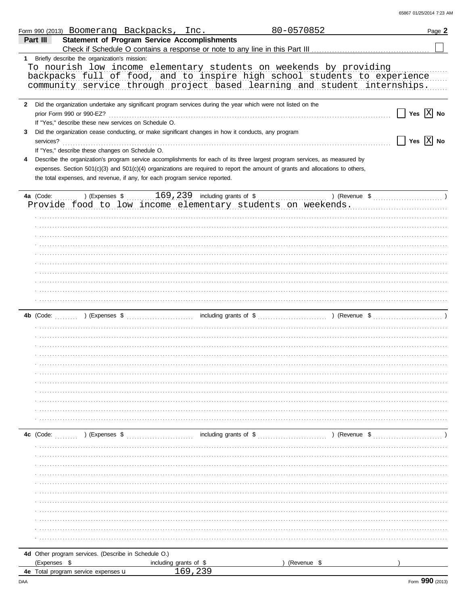| 65867 01/25/2014 7:23 AM |  |
|--------------------------|--|
|                          |  |

|                   |              | Form 990 (2013) Boomerang Backpacks, Inc.                                                                                                                                                                                                                                  |                        |         | 80-0570852                                                                                                                                                                                                                                                   | Page 2                                            |
|-------------------|--------------|----------------------------------------------------------------------------------------------------------------------------------------------------------------------------------------------------------------------------------------------------------------------------|------------------------|---------|--------------------------------------------------------------------------------------------------------------------------------------------------------------------------------------------------------------------------------------------------------------|---------------------------------------------------|
|                   | Part III     | <b>Statement of Program Service Accomplishments</b>                                                                                                                                                                                                                        |                        |         |                                                                                                                                                                                                                                                              |                                                   |
|                   |              | 1 Briefly describe the organization's mission:                                                                                                                                                                                                                             |                        |         |                                                                                                                                                                                                                                                              |                                                   |
|                   |              |                                                                                                                                                                                                                                                                            |                        |         | To nourish low income elementary students on weekends by providing<br>backpacks full of food, and to inspire high school students to experience<br>community service through project based learning and student internships.                                 |                                                   |
| $\mathbf{2}$<br>3 |              | Did the organization undertake any significant program services during the year which were not listed on the<br>If "Yes," describe these new services on Schedule O.<br>Did the organization cease conducting, or make significant changes in how it conducts, any program |                        |         |                                                                                                                                                                                                                                                              | Yes $ X $ No                                      |
|                   | services?    | If "Yes," describe these changes on Schedule O.                                                                                                                                                                                                                            |                        |         |                                                                                                                                                                                                                                                              | $\Box$ Yes $\boxed{\mathrm{X}}$ No                |
| 4                 |              | the total expenses, and revenue, if any, for each program service reported.                                                                                                                                                                                                |                        |         | Describe the organization's program service accomplishments for each of its three largest program services, as measured by<br>expenses. Section 501(c)(3) and 501(c)(4) organizations are required to report the amount of grants and allocations to others, |                                                   |
|                   | 4a (Code:    |                                                                                                                                                                                                                                                                            |                        |         |                                                                                                                                                                                                                                                              | ) (Revenue $\frac{1}{2}$ (Revenue $\frac{1}{2}$ ) |
|                   |              |                                                                                                                                                                                                                                                                            |                        |         | Provide food to low income elementary students on weekends.                                                                                                                                                                                                  |                                                   |
|                   |              |                                                                                                                                                                                                                                                                            |                        |         |                                                                                                                                                                                                                                                              |                                                   |
|                   |              |                                                                                                                                                                                                                                                                            |                        |         |                                                                                                                                                                                                                                                              |                                                   |
|                   |              |                                                                                                                                                                                                                                                                            |                        |         |                                                                                                                                                                                                                                                              |                                                   |
|                   |              |                                                                                                                                                                                                                                                                            |                        |         |                                                                                                                                                                                                                                                              |                                                   |
|                   |              |                                                                                                                                                                                                                                                                            |                        |         |                                                                                                                                                                                                                                                              |                                                   |
|                   |              |                                                                                                                                                                                                                                                                            |                        |         |                                                                                                                                                                                                                                                              |                                                   |
|                   |              |                                                                                                                                                                                                                                                                            |                        |         |                                                                                                                                                                                                                                                              |                                                   |
|                   |              |                                                                                                                                                                                                                                                                            |                        |         |                                                                                                                                                                                                                                                              |                                                   |
|                   |              |                                                                                                                                                                                                                                                                            |                        |         |                                                                                                                                                                                                                                                              |                                                   |
|                   |              |                                                                                                                                                                                                                                                                            |                        |         |                                                                                                                                                                                                                                                              |                                                   |
|                   |              |                                                                                                                                                                                                                                                                            |                        |         |                                                                                                                                                                                                                                                              |                                                   |
|                   |              |                                                                                                                                                                                                                                                                            |                        |         |                                                                                                                                                                                                                                                              |                                                   |
|                   |              |                                                                                                                                                                                                                                                                            |                        |         |                                                                                                                                                                                                                                                              |                                                   |
|                   |              |                                                                                                                                                                                                                                                                            |                        |         |                                                                                                                                                                                                                                                              |                                                   |
|                   |              |                                                                                                                                                                                                                                                                            |                        |         |                                                                                                                                                                                                                                                              |                                                   |
|                   |              |                                                                                                                                                                                                                                                                            |                        |         |                                                                                                                                                                                                                                                              |                                                   |
|                   |              |                                                                                                                                                                                                                                                                            |                        |         |                                                                                                                                                                                                                                                              |                                                   |
|                   |              |                                                                                                                                                                                                                                                                            |                        |         |                                                                                                                                                                                                                                                              |                                                   |
|                   |              |                                                                                                                                                                                                                                                                            |                        |         |                                                                                                                                                                                                                                                              |                                                   |
|                   |              |                                                                                                                                                                                                                                                                            |                        |         |                                                                                                                                                                                                                                                              |                                                   |
|                   | 4c (Code:    | ) (Expenses \$                                                                                                                                                                                                                                                             |                        |         | ) (Revenue \$                                                                                                                                                                                                                                                |                                                   |
|                   |              |                                                                                                                                                                                                                                                                            |                        |         |                                                                                                                                                                                                                                                              |                                                   |
|                   |              |                                                                                                                                                                                                                                                                            |                        |         |                                                                                                                                                                                                                                                              |                                                   |
|                   |              |                                                                                                                                                                                                                                                                            |                        |         |                                                                                                                                                                                                                                                              |                                                   |
|                   |              |                                                                                                                                                                                                                                                                            |                        |         |                                                                                                                                                                                                                                                              |                                                   |
|                   |              |                                                                                                                                                                                                                                                                            |                        |         |                                                                                                                                                                                                                                                              |                                                   |
|                   |              |                                                                                                                                                                                                                                                                            |                        |         |                                                                                                                                                                                                                                                              |                                                   |
|                   |              |                                                                                                                                                                                                                                                                            |                        |         |                                                                                                                                                                                                                                                              |                                                   |
|                   |              |                                                                                                                                                                                                                                                                            |                        |         |                                                                                                                                                                                                                                                              |                                                   |
|                   |              |                                                                                                                                                                                                                                                                            |                        |         |                                                                                                                                                                                                                                                              |                                                   |
|                   |              |                                                                                                                                                                                                                                                                            |                        |         |                                                                                                                                                                                                                                                              |                                                   |
|                   |              | 4d Other program services. (Describe in Schedule O.)                                                                                                                                                                                                                       |                        |         |                                                                                                                                                                                                                                                              |                                                   |
|                   | (Expenses \$ |                                                                                                                                                                                                                                                                            | including grants of \$ |         | (Revenue \$                                                                                                                                                                                                                                                  |                                                   |
|                   |              | <b>4e</b> Total program service expenses $\mathbf u$                                                                                                                                                                                                                       |                        | 169,239 |                                                                                                                                                                                                                                                              |                                                   |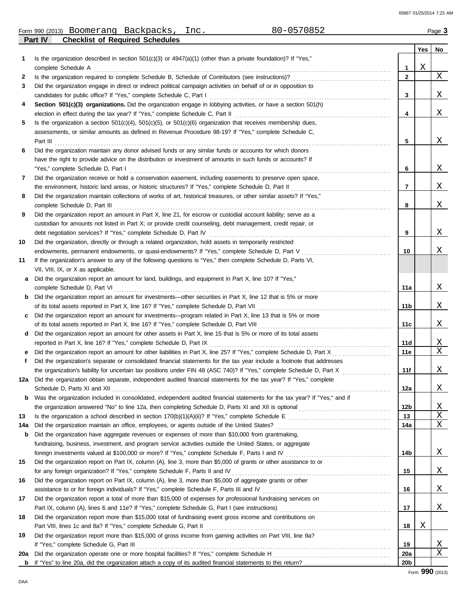65867 01/25/2014 7:23 AM

| Form<br>990 (2013) | Boomerang         | Backpacks             | Inc. | $\overline{\phantom{a}}$ | Page |
|--------------------|-------------------|-----------------------|------|--------------------------|------|
| Part IV            | Checklist<br>. ot | Reauired<br>Schedules |      |                          |      |

|     |                                                                                                                            |                 | Yes | No |
|-----|----------------------------------------------------------------------------------------------------------------------------|-----------------|-----|----|
| 1.  | Is the organization described in section $501(c)(3)$ or $4947(a)(1)$ (other than a private foundation)? If "Yes,"          |                 |     |    |
|     | complete Schedule A                                                                                                        | 1               | Χ   |    |
| 2   | Is the organization required to complete Schedule B, Schedule of Contributors (see instructions)?                          | $\mathbf{2}$    |     | Χ  |
| 3   | Did the organization engage in direct or indirect political campaign activities on behalf of or in opposition to           |                 |     |    |
|     | candidates for public office? If "Yes," complete Schedule C, Part I                                                        | 3               |     | Χ  |
| 4   | Section 501(c)(3) organizations. Did the organization engage in lobbying activities, or have a section 501(h)              |                 |     |    |
|     | election in effect during the tax year? If "Yes," complete Schedule C, Part II                                             | 4               |     | Χ  |
| 5   | Is the organization a section $501(c)(4)$ , $501(c)(5)$ , or $501(c)(6)$ organization that receives membership dues,       |                 |     |    |
|     | assessments, or similar amounts as defined in Revenue Procedure 98-19? If "Yes," complete Schedule C,                      |                 |     |    |
|     | Part III                                                                                                                   | 5               |     | Χ  |
| 6   | Did the organization maintain any donor advised funds or any similar funds or accounts for which donors                    |                 |     |    |
|     | have the right to provide advice on the distribution or investment of amounts in such funds or accounts? If                |                 |     |    |
|     | "Yes," complete Schedule D, Part I                                                                                         | 6               |     | Χ  |
| 7   | Did the organization receive or hold a conservation easement, including easements to preserve open space,                  |                 |     |    |
|     | the environment, historic land areas, or historic structures? If "Yes," complete Schedule D, Part II                       | 7               |     | Χ  |
| 8   | Did the organization maintain collections of works of art, historical treasures, or other similar assets? If "Yes,"        |                 |     |    |
|     | complete Schedule D, Part III                                                                                              | 8               |     | Χ  |
| 9   | Did the organization report an amount in Part X, line 21, for escrow or custodial account liability; serve as a            |                 |     |    |
|     | custodian for amounts not listed in Part X; or provide credit counseling, debt management, credit repair, or               |                 |     |    |
|     | debt negotiation services? If "Yes," complete Schedule D, Part IV                                                          | 9               |     | Χ  |
| 10  | Did the organization, directly or through a related organization, hold assets in temporarily restricted                    |                 |     |    |
|     | endowments, permanent endowments, or quasi-endowments? If "Yes," complete Schedule D, Part V                               | 10              |     | Χ  |
| 11  | If the organization's answer to any of the following questions is "Yes," then complete Schedule D, Parts VI,               |                 |     |    |
|     | VII, VIII, IX, or X as applicable.                                                                                         |                 |     |    |
| а   | Did the organization report an amount for land, buildings, and equipment in Part X, line 10? If "Yes,"                     |                 |     |    |
|     | complete Schedule D, Part VI                                                                                               | 11a             |     | Χ  |
| b   | Did the organization report an amount for investments—other securities in Part X, line 12 that is 5% or more               |                 |     |    |
|     | of its total assets reported in Part X, line 16? If "Yes," complete Schedule D, Part VII                                   | 11b             |     | Χ  |
|     | Did the organization report an amount for investments—program related in Part X, line 13 that is 5% or more                |                 |     |    |
|     | of its total assets reported in Part X, line 16? If "Yes," complete Schedule D, Part VIII                                  | 11c             |     | Χ  |
| d   | Did the organization report an amount for other assets in Part X, line 15 that is 5% or more of its total assets           |                 |     |    |
|     | reported in Part X, line 16? If "Yes," complete Schedule D, Part IX                                                        | 11d             |     | Χ  |
|     | Did the organization report an amount for other liabilities in Part X, line 25? If "Yes," complete Schedule D, Part X      | 11e             |     | X  |
| f   | Did the organization's separate or consolidated financial statements for the tax year include a footnote that addresses    |                 |     |    |
|     | the organization's liability for uncertain tax positions under FIN 48 (ASC 740)? If "Yes," complete Schedule D, Part X     | 11f             |     | Χ  |
| 12a | Did the organization obtain separate, independent audited financial statements for the tax year? If "Yes," complete        |                 |     |    |
|     |                                                                                                                            | 12a             |     | Χ  |
| b   | Was the organization included in consolidated, independent audited financial statements for the tax year? If "Yes," and if |                 |     |    |
|     |                                                                                                                            | 12b             |     | Χ  |
| 13  |                                                                                                                            | 13              |     | Χ  |
| 14a | Did the organization maintain an office, employees, or agents outside of the United States?                                | 14a             |     | Χ  |
| b   | Did the organization have aggregate revenues or expenses of more than \$10,000 from grantmaking,                           |                 |     |    |
|     | fundraising, business, investment, and program service activities outside the United States, or aggregate                  |                 |     |    |
|     | foreign investments valued at \$100,000 or more? If "Yes," complete Schedule F, Parts I and IV [[[[[[[[[[[[[[[[            | 14b             |     | Χ  |
| 15  | Did the organization report on Part IX, column (A), line 3, more than \$5,000 of grants or other assistance to or          |                 |     |    |
|     | for any foreign organization? If "Yes," complete Schedule F, Parts II and IV                                               | 15              |     | Χ  |
| 16  | Did the organization report on Part IX, column (A), line 3, more than \$5,000 of aggregate grants or other                 |                 |     |    |
|     | assistance to or for foreign individuals? If "Yes," complete Schedule F, Parts III and IV                                  | 16              |     | Χ  |
| 17  | Did the organization report a total of more than \$15,000 of expenses for professional fundraising services on             |                 |     |    |
|     |                                                                                                                            | 17              |     | Χ  |
| 18  | Did the organization report more than \$15,000 total of fundraising event gross income and contributions on                |                 |     |    |
|     | Part VIII, lines 1c and 8a? If "Yes," complete Schedule G, Part II                                                         | 18              | Χ   |    |
| 19  | Did the organization report more than \$15,000 of gross income from gaming activities on Part VIII, line 9a?               |                 |     |    |
|     | If "Yes," complete Schedule G, Part III                                                                                    | 19              |     | X  |
| 20a | Did the organization operate one or more hospital facilities? If "Yes," complete Schedule H                                | 20a             |     | Χ  |
|     |                                                                                                                            | 20 <sub>b</sub> |     |    |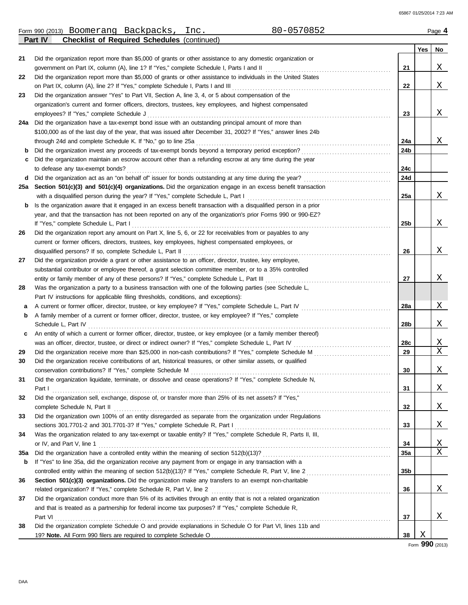65867 01/25/2014 7:23 AM

| Form<br>(2013)<br>990<br>.nc<br>Rackpacks<br>Boomerang<br>rpacks<br>DdC.<br>. | $\hat{z}$<br>$\cdots$<br>הטרי<br>Page<br>- |
|-------------------------------------------------------------------------------|--------------------------------------------|
|-------------------------------------------------------------------------------|--------------------------------------------|

|     | <b>Checklist of Required Schedules (continued)</b><br>Part IV                                                    |     |     |          |
|-----|------------------------------------------------------------------------------------------------------------------|-----|-----|----------|
|     |                                                                                                                  |     | Yes | No.      |
| 21  | Did the organization report more than \$5,000 of grants or other assistance to any domestic organization or      |     |     |          |
|     | government on Part IX, column (A), line 1? If "Yes," complete Schedule I, Parts I and II [[[[[[[[[[[[[[[[[[[[[   | 21  |     | X        |
| 22  | Did the organization report more than \$5,000 of grants or other assistance to individuals in the United States  |     |     |          |
|     | on Part IX, column (A), line 2? If "Yes," complete Schedule I, Parts I and III [[[[[[[[[[[[[[[[[[[[[[[[[[[[[[    | 22  |     | X        |
| 23  | Did the organization answer "Yes" to Part VII, Section A, line 3, 4, or 5 about compensation of the              |     |     |          |
|     | organization's current and former officers, directors, trustees, key employees, and highest compensated          |     |     |          |
|     | employees? If "Yes," complete Schedule J                                                                         | 23  |     | X        |
| 24a | Did the organization have a tax-exempt bond issue with an outstanding principal amount of more than              |     |     |          |
|     | \$100,000 as of the last day of the year, that was issued after December 31, 2002? If "Yes," answer lines 24b    |     |     |          |
|     | through 24d and complete Schedule K. If "No," go to line 25a                                                     | 24a |     | X        |
| b   |                                                                                                                  | 24b |     |          |
| c   | Did the organization maintain an escrow account other than a refunding escrow at any time during the year        |     |     |          |
|     | to defease any tax-exempt bonds?                                                                                 | 24с |     |          |
| d   |                                                                                                                  | 24d |     |          |
| 25a | Section 501(c)(3) and 501(c)(4) organizations. Did the organization engage in an excess benefit transaction      |     |     |          |
|     | with a disqualified person during the year? If "Yes," complete Schedule L, Part I                                | 25a |     | X        |
| b   | Is the organization aware that it engaged in an excess benefit transaction with a disqualified person in a prior |     |     |          |
|     | year, and that the transaction has not been reported on any of the organization's prior Forms 990 or 990-EZ?     |     |     |          |
|     | If "Yes," complete Schedule L, Part I                                                                            | 25b |     | X        |
| 26  | Did the organization report any amount on Part X, line 5, 6, or 22 for receivables from or payables to any       |     |     |          |
|     | current or former officers, directors, trustees, key employees, highest compensated employees, or                |     |     |          |
|     | disqualified persons? If so, complete Schedule L, Part II                                                        | 26  |     | X        |
| 27  | Did the organization provide a grant or other assistance to an officer, director, trustee, key employee,         |     |     |          |
|     |                                                                                                                  |     |     |          |
|     | substantial contributor or employee thereof, a grant selection committee member, or to a 35% controlled          | 27  |     | X        |
|     | entity or family member of any of these persons? If "Yes," complete Schedule L, Part III                         |     |     |          |
| 28  | Was the organization a party to a business transaction with one of the following parties (see Schedule L,        |     |     |          |
|     | Part IV instructions for applicable filing thresholds, conditions, and exceptions):                              |     |     | Χ        |
| а   | A current or former officer, director, trustee, or key employee? If "Yes," complete Schedule L, Part IV          | 28a |     |          |
| b   | A family member of a current or former officer, director, trustee, or key employee? If "Yes," complete           |     |     |          |
|     |                                                                                                                  | 28b |     | X        |
| c   | An entity of which a current or former officer, director, trustee, or key employee (or a family member thereof)  |     |     |          |
|     |                                                                                                                  | 28c |     | X        |
| 29  |                                                                                                                  | 29  |     | Χ        |
| 30  | Did the organization receive contributions of art, historical treasures, or other similar assets, or qualified   |     |     |          |
|     |                                                                                                                  | 30  |     | Χ        |
| 31  | Did the organization liquidate, terminate, or dissolve and cease operations? If "Yes," complete Schedule N,      |     |     |          |
|     | Part I                                                                                                           | 31  |     | X        |
| 32  | Did the organization sell, exchange, dispose of, or transfer more than 25% of its net assets? If "Yes,"          |     |     |          |
|     |                                                                                                                  | 32  |     | X        |
| 33  | Did the organization own 100% of an entity disregarded as separate from the organization under Regulations       |     |     |          |
|     |                                                                                                                  | 33  |     | X        |
| 34  | Was the organization related to any tax-exempt or taxable entity? If "Yes," complete Schedule R, Parts II, III,  |     |     |          |
|     | or IV, and Part V, line 1                                                                                        | 34  |     | <u>X</u> |
| 35a |                                                                                                                  | 35a |     | Χ        |
| b   | If "Yes" to line 35a, did the organization receive any payment from or engage in any transaction with a          |     |     |          |
|     |                                                                                                                  | 35b |     |          |
| 36  | Section 501(c)(3) organizations. Did the organization make any transfers to an exempt non-charitable             |     |     |          |
|     | related organization? If "Yes," complete Schedule R, Part V, line 2                                              | 36  |     | X        |
| 37  | Did the organization conduct more than 5% of its activities through an entity that is not a related organization |     |     |          |
|     | and that is treated as a partnership for federal income tax purposes? If "Yes," complete Schedule R,             |     |     |          |
|     | Part VI                                                                                                          | 37  |     | X        |
| 38  | Did the organization complete Schedule O and provide explanations in Schedule O for Part VI, lines 11b and       |     |     |          |
|     |                                                                                                                  | 38  | Χ   |          |

Form **990** (2013)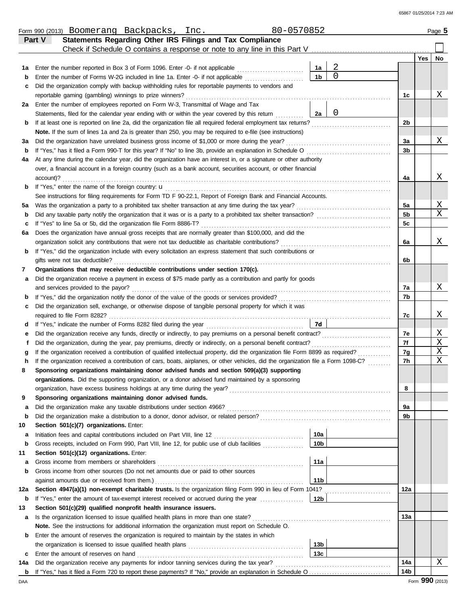|     | 80-0570852<br>Form 990 (2013) Boomerang Backpacks, Inc.                                                                            |                 |             |     |     | Page 5 |
|-----|------------------------------------------------------------------------------------------------------------------------------------|-----------------|-------------|-----|-----|--------|
|     | Statements Regarding Other IRS Filings and Tax Compliance<br>Part V                                                                |                 |             |     |     |        |
|     | Check if Schedule O contains a response or note to any line in this Part V                                                         |                 |             |     |     |        |
|     |                                                                                                                                    |                 |             |     | Yes | No.    |
| 1а  | Enter the number reported in Box 3 of Form 1096. Enter -0- if not applicable                                                       | 1a              | $\sqrt{2}$  |     |     |        |
| b   | Enter the number of Forms W-2G included in line 1a. Enter -0- if not applicable                                                    | 1 <sub>b</sub>  | $\mathbf 0$ |     |     |        |
| c   | Did the organization comply with backup withholding rules for reportable payments to vendors and                                   |                 |             |     |     |        |
|     | reportable gaming (gambling) winnings to prize winners?                                                                            |                 |             | 1c  |     | Χ      |
| 2a  | Enter the number of employees reported on Form W-3, Transmittal of Wage and Tax                                                    |                 |             |     |     |        |
|     | Statements, filed for the calendar year ending with or within the year covered by this return                                      | 2a              | 0           |     |     |        |
| b   | If at least one is reported on line 2a, did the organization file all required federal employment tax returns?                     |                 |             | 2b  |     |        |
|     | Note. If the sum of lines 1a and 2a is greater than 250, you may be required to e-file (see instructions)                          |                 |             |     |     |        |
| за  | Did the organization have unrelated business gross income of \$1,000 or more during the year?                                      |                 |             | 3a  |     | Χ      |
| b   | If "Yes," has it filed a Form 990-T for this year? If "No" to line 3b, provide an explanation in Schedule O                        |                 |             | 3b  |     |        |
| 4a  | At any time during the calendar year, did the organization have an interest in, or a signature or other authority                  |                 |             |     |     |        |
|     | over, a financial account in a foreign country (such as a bank account, securities account, or other financial                     |                 |             |     |     |        |
|     | account)?                                                                                                                          |                 |             | 4a  |     | Χ      |
| b   | If "Yes," enter the name of the foreign country: <b>u</b>                                                                          |                 |             |     |     |        |
|     | See instructions for filing requirements for Form TD F 90-22.1, Report of Foreign Bank and Financial Accounts.                     |                 |             |     |     |        |
| 5а  | Was the organization a party to a prohibited tax shelter transaction at any time during the tax year?                              |                 |             | 5a  |     | Χ      |
| b   |                                                                                                                                    |                 |             | 5b  |     | X      |
| c   | If "Yes" to line 5a or 5b, did the organization file Form 8886-T?                                                                  |                 |             | 5c  |     |        |
| 6a  | Does the organization have annual gross receipts that are normally greater than \$100,000, and did the                             |                 |             |     |     |        |
|     | organization solicit any contributions that were not tax deductible as charitable contributions?                                   |                 |             | 6a  |     | Χ      |
| b   | If "Yes," did the organization include with every solicitation an express statement that such contributions or                     |                 |             |     |     |        |
|     | gifts were not tax deductible?                                                                                                     |                 |             | 6b  |     |        |
| 7   | Organizations that may receive deductible contributions under section 170(c).                                                      |                 |             |     |     |        |
| а   | Did the organization receive a payment in excess of \$75 made partly as a contribution and partly for goods                        |                 |             |     |     |        |
|     | and services provided to the payor?                                                                                                |                 |             | 7a  |     | Χ      |
| b   |                                                                                                                                    |                 |             | 7b  |     |        |
| с   | Did the organization sell, exchange, or otherwise dispose of tangible personal property for which it was                           |                 |             |     |     |        |
|     | required to file Form 8282?                                                                                                        |                 |             | 7c  |     | Χ      |
| d   |                                                                                                                                    | 7d              |             |     |     |        |
| е   |                                                                                                                                    |                 |             | 7e  |     | Χ      |
| f   | Did the organization, during the year, pay premiums, directly or indirectly, on a personal benefit contract?                       |                 |             | 7f  |     | Χ      |
| g   | If the organization received a contribution of qualified intellectual property, did the organization file Form 8899 as required?   |                 |             | 7g  |     | Χ      |
| h   | If the organization received a contribution of cars, boats, airplanes, or other vehicles, did the organization file a Form 1098-C? |                 |             | 7h  |     | Χ      |
|     | Sponsoring organizations maintaining donor advised funds and section 509(a)(3) supporting                                          |                 |             |     |     |        |
|     | organizations. Did the supporting organization, or a donor advised fund maintained by a sponsoring                                 |                 |             |     |     |        |
|     | organization, have excess business holdings at any time during the year?                                                           |                 |             | 8   |     |        |
| 9   | Sponsoring organizations maintaining donor advised funds.                                                                          |                 |             |     |     |        |
| а   |                                                                                                                                    |                 |             | 9a  |     |        |
| b   |                                                                                                                                    |                 |             | 9b  |     |        |
| 10  | Section 501(c)(7) organizations. Enter:                                                                                            |                 |             |     |     |        |
| а   |                                                                                                                                    | 10a             |             |     |     |        |
| b   | Gross receipts, included on Form 990, Part VIII, line 12, for public use of club facilities                                        | 10b             |             |     |     |        |
| 11  | Section 501(c)(12) organizations. Enter:                                                                                           |                 |             |     |     |        |
| а   | Gross income from members or shareholders                                                                                          | 11a             |             |     |     |        |
| b   | Gross income from other sources (Do not net amounts due or paid to other sources                                                   |                 |             |     |     |        |
|     | against amounts due or received from them.)                                                                                        | 11 <sub>b</sub> |             |     |     |        |
| 12a | Section 4947(a)(1) non-exempt charitable trusts. Is the organization filing Form 990 in lieu of Form 1041?                         |                 |             | 12a |     |        |
| b   | If "Yes," enter the amount of tax-exempt interest received or accrued during the year                                              | 12 <sub>b</sub> |             |     |     |        |
| 13  | Section 501(c)(29) qualified nonprofit health insurance issuers.                                                                   |                 |             |     |     |        |
| а   | Is the organization licensed to issue qualified health plans in more than one state?                                               |                 |             | 13а |     |        |
|     | Note. See the instructions for additional information the organization must report on Schedule O.                                  |                 |             |     |     |        |
| b   | Enter the amount of reserves the organization is required to maintain by the states in which                                       |                 |             |     |     |        |
|     |                                                                                                                                    | 13 <sub>b</sub> |             |     |     |        |
| c   | Enter the amount of reserves on hand                                                                                               | 13 <sub>c</sub> |             |     |     |        |
| 14a | Did the organization receive any payments for indoor tanning services during the tax year?                                         |                 |             | 14a |     | X      |
| b   |                                                                                                                                    |                 |             | 14b |     |        |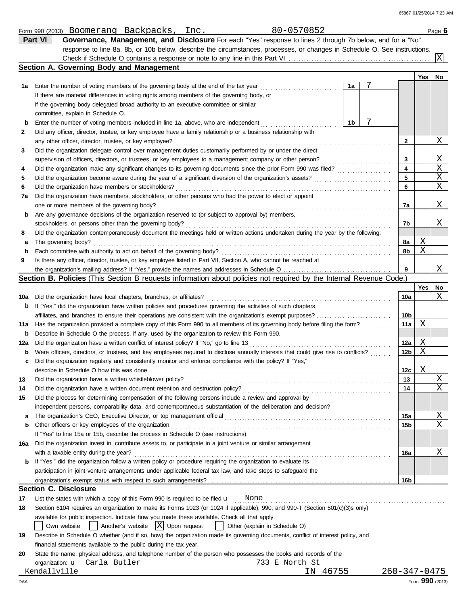|     | 80-0570852<br>Form 990 (2013) Boomerang Backpacks, Inc.                                                                                                  |    |   |     |     | Page 6         |
|-----|----------------------------------------------------------------------------------------------------------------------------------------------------------|----|---|-----|-----|----------------|
|     | Governance, Management, and Disclosure For each "Yes" response to lines 2 through 7b below, and for a "No"<br>Part VI                                    |    |   |     |     |                |
|     | response to line 8a, 8b, or 10b below, describe the circumstances, processes, or changes in Schedule O. See instructions.                                |    |   |     |     |                |
|     |                                                                                                                                                          |    |   |     |     | $ \mathrm{X} $ |
|     | Section A. Governing Body and Management                                                                                                                 |    |   |     |     |                |
|     |                                                                                                                                                          |    |   |     | Yes | No             |
| 1a  | Enter the number of voting members of the governing body at the end of the tax year                                                                      | 1a | 7 |     |     |                |
|     | If there are material differences in voting rights among members of the governing body, or                                                               |    |   |     |     |                |
|     | if the governing body delegated broad authority to an executive committee or similar                                                                     |    |   |     |     |                |
|     | committee, explain in Schedule O.                                                                                                                        |    |   |     |     |                |
| b   | Enter the number of voting members included in line 1a, above, who are independent                                                                       | 1b | 7 |     |     |                |
| 2   | Did any officer, director, trustee, or key employee have a family relationship or a business relationship with                                           |    |   |     |     |                |
|     | any other officer, director, trustee, or key employee?                                                                                                   |    |   | 2   |     | Χ              |
| 3   | Did the organization delegate control over management duties customarily performed by or under the direct                                                |    |   |     |     |                |
|     | supervision of officers, directors, or trustees, or key employees to a management company or other person?                                               |    |   | 3   |     | Χ              |
| 4   |                                                                                                                                                          |    |   | 4   |     | X              |
| 5   |                                                                                                                                                          |    |   | 5   |     | Χ              |
| 6   | Did the organization have members or stockholders?                                                                                                       |    |   | 6   |     | Χ              |
| 7a  | Did the organization have members, stockholders, or other persons who had the power to elect or appoint                                                  |    |   |     |     |                |
|     | one or more members of the governing body?                                                                                                               |    |   | 7a  |     | Χ              |
| b   | Are any governance decisions of the organization reserved to (or subject to approval by) members,                                                        |    |   |     |     |                |
|     | stockholders, or persons other than the governing body?                                                                                                  |    |   | 7b  |     | Χ              |
| 8   | Did the organization contemporaneously document the meetings held or written actions undertaken during the year by the following:                        |    |   |     |     |                |
| а   | The governing body?                                                                                                                                      |    |   | 8а  | Χ   |                |
| b   | Each committee with authority to act on behalf of the governing body?                                                                                    |    |   | 8b  | Χ   |                |
| 9   | Is there any officer, director, trustee, or key employee listed in Part VII, Section A, who cannot be reached at                                         |    |   |     |     |                |
|     |                                                                                                                                                          |    |   | 9   |     | Χ              |
|     | Section B. Policies (This Section B requests information about policies not required by the Internal Revenue Code.)                                      |    |   |     |     |                |
|     |                                                                                                                                                          |    |   |     | Yes | No             |
| 10a | Did the organization have local chapters, branches, or affiliates?                                                                                       |    |   | 10a |     | Χ              |
| b   | If "Yes," did the organization have written policies and procedures governing the activities of such chapters,                                           |    |   |     |     |                |
|     |                                                                                                                                                          |    |   | 10b |     |                |
| 11a | Has the organization provided a complete copy of this Form 990 to all members of its governing body before filing the form?                              |    |   | 11a | Χ   |                |
| b   | Describe in Schedule O the process, if any, used by the organization to review this Form 990.                                                            |    |   |     |     |                |
| 12a | Did the organization have a written conflict of interest policy? If "No," go to line 13                                                                  |    |   | 12a | Χ   |                |
| b   | Were officers, directors, or trustees, and key employees required to disclose annually interests that could give rise to conflicts?                      |    |   | 12b | Χ   |                |
| c   | Did the organization regularly and consistently monitor and enforce compliance with the policy? If "Yes,"                                                |    |   |     |     |                |
|     | describe in Schedule O how this was done                                                                                                                 |    |   | 12c | Χ   |                |
| 13  | Did the organization have a written whistleblower policy?                                                                                                |    |   | 13  |     | Χ              |
| 14  | Did the organization have a written document retention and destruction policy?                                                                           |    |   | 14  |     | Χ              |
| 15  | Did the process for determining compensation of the following persons include a review and approval by                                                   |    |   |     |     |                |
|     | independent persons, comparability data, and contemporaneous substantiation of the deliberation and decision?                                            |    |   |     |     |                |
|     |                                                                                                                                                          |    |   | 15a |     | Χ              |
| а   | Other officers or key employees of the organization                                                                                                      |    |   |     |     | Χ              |
| b   | If "Yes" to line 15a or 15b, describe the process in Schedule O (see instructions).                                                                      |    |   | 15b |     |                |
|     |                                                                                                                                                          |    |   |     |     |                |
| 16a | Did the organization invest in, contribute assets to, or participate in a joint venture or similar arrangement<br>with a taxable entity during the year? |    |   |     |     | Χ              |
|     |                                                                                                                                                          |    |   | 16a |     |                |
| b   | If "Yes," did the organization follow a written policy or procedure requiring the organization to evaluate its                                           |    |   |     |     |                |
|     | participation in joint venture arrangements under applicable federal tax law, and take steps to safeguard the                                            |    |   |     |     |                |
|     |                                                                                                                                                          |    |   | 16b |     |                |
|     | <b>Section C. Disclosure</b>                                                                                                                             |    |   |     |     |                |
| 17  | List the states with which a copy of this Form 990 is required to be filed $\mathbf u$ None                                                              |    |   |     |     |                |
| 18  | Section 6104 requires an organization to make its Forms 1023 (or 1024 if applicable), 990, and 990-T (Section 501(c)(3)s only)                           |    |   |     |     |                |
|     | available for public inspection. Indicate how you made these available. Check all that apply.                                                            |    |   |     |     |                |
|     | Another's website $ X $ Upon request<br>Own website<br>Other (explain in Schedule O)                                                                     |    |   |     |     |                |
| 19  | Describe in Schedule O whether (and if so, how) the organization made its governing documents, conflict of interest policy, and                          |    |   |     |     |                |
|     | financial statements available to the public during the tax year.                                                                                        |    |   |     |     |                |
| 20  | State the name, physical address, and telephone number of the person who possesses the books and records of the                                          |    |   |     |     |                |
|     | organization: <b>u</b> Carla Butler<br>733 E North St                                                                                                    |    |   |     |     |                |

Exendallville IN 46755 260-347-0475<br>AA Form **990** (2013)

733 E North St<br>TN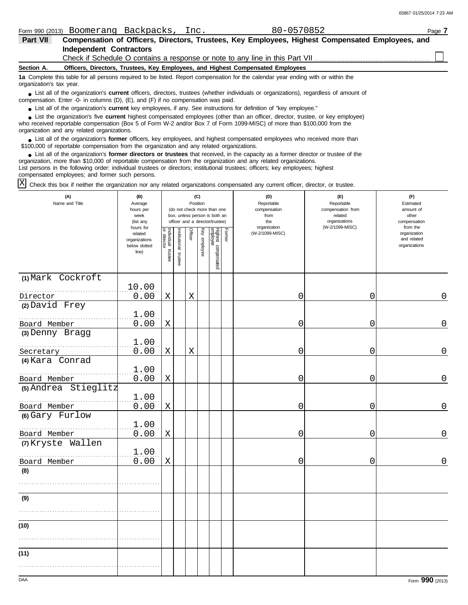| Part VII                 | Compensation of Officers, Directors, Trustees, Key Employees, Highest Compensated Employees, and                                                                                                                                           |
|--------------------------|--------------------------------------------------------------------------------------------------------------------------------------------------------------------------------------------------------------------------------------------|
|                          | Independent Contractors                                                                                                                                                                                                                    |
|                          |                                                                                                                                                                                                                                            |
| Section A.               | Officers, Directors, Trustees, Key Employees, and Highest Compensated Employees                                                                                                                                                            |
| organization's tax year. | 1a Complete this table for all persons required to be listed. Report compensation for the calendar year ending with or within the                                                                                                          |
|                          | • List all of the organization's <b>current</b> officers, directors, trustees (whether individuals or organizations), regardless of amount of<br>compensation. Enter -0- in columns $(D)$ , $(E)$ , and $(F)$ if no compensation was paid. |

● List all of the organization's **current** key employees, if any. See instructions for definition of "key employee."

who received reportable compensation (Box 5 of Form W-2 and/or Box 7 of Form 1099-MISC) of more than \$100,000 from the organization and any related organizations. ■ List the organization's five **current** highest compensated employees (other than an officer, director, trustee, or key employee)<br> **•** Pregiund reportable compensation (Box 5 of Ferm W 2 and/or Box 7 of Ferm 1000 MISC) o

■ List all of the organization's **former** officers, key employees, and highest compensated employees who received more than<br> **•** 00.000 of reportable compensation from the examization and any related examizations \$100,000 of reportable compensation from the organization and any related organizations.

■ List all of the organization's **former directors or trustees** that received, in the capacity as a former director or trustee of the practization more than \$10,000 of reportable compensation from the organization and any organization, more than \$10,000 of reportable compensation from the organization and any related organizations. List persons in the following order: individual trustees or directors; institutional trustees; officers; key employees; highest compensated employees; and former such persons.

Check this box if neither the organization nor any related organizations compensated any current officer, director, or trustee.  $|X|$ 

| (A)<br>Name and Title                | (B)<br>Average<br>hours per<br>week<br>(list any               |                                   |                      | (C)<br>Position |              | (do not check more than one<br>box, unless person is both an<br>officer and a director/trustee) |               | (D)<br>Reportable<br>compensation<br>from<br>the | (E)<br>Reportable<br>compensation from<br>related<br>organizations | (F)<br>Estimated<br>amount of<br>other<br>compensation   |
|--------------------------------------|----------------------------------------------------------------|-----------------------------------|----------------------|-----------------|--------------|-------------------------------------------------------------------------------------------------|---------------|--------------------------------------------------|--------------------------------------------------------------------|----------------------------------------------------------|
|                                      | hours for<br>related<br>organizations<br>below dotted<br>line) | Individual trustee<br>or director | nstitutional trustee | Officer         | Key employee | Highest compensated<br>employee                                                                 | <b>Former</b> | organization<br>(W-2/1099-MISC)                  | (W-2/1099-MISC)                                                    | from the<br>organization<br>and related<br>organizations |
| (1) Mark Cockroft                    | 10.00                                                          |                                   |                      |                 |              |                                                                                                 |               |                                                  |                                                                    |                                                          |
| Director                             | 0.00                                                           | Χ                                 |                      | X               |              |                                                                                                 |               | 0                                                | $\mathbf 0$                                                        | 0                                                        |
| (2) David Frey<br>Board Member       | 1.00<br>0.00                                                   | Χ                                 |                      |                 |              |                                                                                                 |               | 0                                                | 0                                                                  | 0                                                        |
| (3) Denny Bragg                      |                                                                |                                   |                      |                 |              |                                                                                                 |               |                                                  |                                                                    |                                                          |
| Secretary                            | 1.00<br>0.00                                                   | X                                 |                      | X               |              |                                                                                                 |               | 0                                                | 0                                                                  | 0                                                        |
| (4) Kara Conrad                      |                                                                |                                   |                      |                 |              |                                                                                                 |               |                                                  |                                                                    |                                                          |
| Board Member                         | 1.00<br>0.00                                                   | $\mathbf X$                       |                      |                 |              |                                                                                                 |               | 0                                                | 0                                                                  | 0                                                        |
| (5) Andrea Stieglitz<br>Board Member | 1.00<br>0.00                                                   | Χ                                 |                      |                 |              |                                                                                                 |               | 0                                                | $\mathbf 0$                                                        | $\mathsf{O}\xspace$                                      |
| (6) Gary Furlow                      |                                                                |                                   |                      |                 |              |                                                                                                 |               |                                                  |                                                                    |                                                          |
| Board Member                         | 1.00<br>0.00                                                   | $\mathbf X$                       |                      |                 |              |                                                                                                 |               | 0                                                | $\mathbf 0$                                                        | 0                                                        |
| (7) Kryste Wallen                    |                                                                |                                   |                      |                 |              |                                                                                                 |               |                                                  |                                                                    |                                                          |
| Board Member                         | 1.00<br>0.00                                                   | X                                 |                      |                 |              |                                                                                                 |               | 0                                                | 0                                                                  | 0                                                        |
| (8)                                  |                                                                |                                   |                      |                 |              |                                                                                                 |               |                                                  |                                                                    |                                                          |
|                                      |                                                                |                                   |                      |                 |              |                                                                                                 |               |                                                  |                                                                    |                                                          |
| (9)                                  |                                                                |                                   |                      |                 |              |                                                                                                 |               |                                                  |                                                                    |                                                          |
|                                      |                                                                |                                   |                      |                 |              |                                                                                                 |               |                                                  |                                                                    |                                                          |
| (10)                                 |                                                                |                                   |                      |                 |              |                                                                                                 |               |                                                  |                                                                    |                                                          |
|                                      |                                                                |                                   |                      |                 |              |                                                                                                 |               |                                                  |                                                                    |                                                          |
| (11)                                 |                                                                |                                   |                      |                 |              |                                                                                                 |               |                                                  |                                                                    |                                                          |
|                                      |                                                                |                                   |                      |                 |              |                                                                                                 |               |                                                  |                                                                    |                                                          |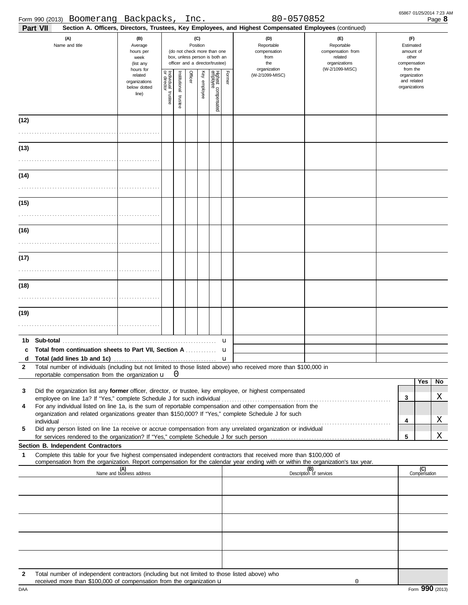|                   | Form 990 (2013) Boomerang Backpacks, Inc.                                                                                                                                                                                                                                                      |                                                                |                                      |                                     |  |                 |                                                                                                 |                  | 80-0570852                                                                                             |                                                                                                                                                                                                                                |                                                                    | 65867 01/25/2014 7:23 AM<br>Page 8 |
|-------------------|------------------------------------------------------------------------------------------------------------------------------------------------------------------------------------------------------------------------------------------------------------------------------------------------|----------------------------------------------------------------|--------------------------------------|-------------------------------------|--|-----------------|-------------------------------------------------------------------------------------------------|------------------|--------------------------------------------------------------------------------------------------------|--------------------------------------------------------------------------------------------------------------------------------------------------------------------------------------------------------------------------------|--------------------------------------------------------------------|------------------------------------|
|                   | Part VII                                                                                                                                                                                                                                                                                       |                                                                |                                      |                                     |  |                 |                                                                                                 |                  | Section A. Officers, Directors, Trustees, Key Employees, and Highest Compensated Employees (continued) |                                                                                                                                                                                                                                |                                                                    |                                    |
|                   | (A)<br>Name and title                                                                                                                                                                                                                                                                          | (B)<br>Average<br>hours per<br>week<br>(list any               |                                      |                                     |  | (C)<br>Position | (do not check more than one<br>box, unless person is both an<br>officer and a director/trustee) |                  | (D)<br>Reportable<br>compensation<br>from<br>the<br>organization                                       | (E)<br>Reportable<br>compensation from<br>related<br>organizations<br>(W-2/1099-MISC)                                                                                                                                          | (F)<br>Estimated<br>amount of<br>other<br>compensation<br>from the |                                    |
|                   |                                                                                                                                                                                                                                                                                                | hours for<br>related<br>organizations<br>below dotted<br>line) | Individual<br>or director<br>trustee | Officer<br>Institutional<br>trustee |  | Ķey<br>employee | Highest compensated<br>employee                                                                 | Former           | (W-2/1099-MISC)                                                                                        |                                                                                                                                                                                                                                | organization<br>and related<br>organizations                       |                                    |
| (12)              |                                                                                                                                                                                                                                                                                                |                                                                |                                      |                                     |  |                 |                                                                                                 |                  |                                                                                                        |                                                                                                                                                                                                                                |                                                                    |                                    |
| (13)              |                                                                                                                                                                                                                                                                                                |                                                                |                                      |                                     |  |                 |                                                                                                 |                  |                                                                                                        |                                                                                                                                                                                                                                |                                                                    |                                    |
| (14)              |                                                                                                                                                                                                                                                                                                |                                                                |                                      |                                     |  |                 |                                                                                                 |                  |                                                                                                        |                                                                                                                                                                                                                                |                                                                    |                                    |
| (15)              |                                                                                                                                                                                                                                                                                                |                                                                |                                      |                                     |  |                 |                                                                                                 |                  |                                                                                                        |                                                                                                                                                                                                                                |                                                                    |                                    |
| (16)              |                                                                                                                                                                                                                                                                                                |                                                                |                                      |                                     |  |                 |                                                                                                 |                  |                                                                                                        |                                                                                                                                                                                                                                |                                                                    |                                    |
| (17)              |                                                                                                                                                                                                                                                                                                |                                                                |                                      |                                     |  |                 |                                                                                                 |                  |                                                                                                        |                                                                                                                                                                                                                                |                                                                    |                                    |
| (18)              |                                                                                                                                                                                                                                                                                                |                                                                |                                      |                                     |  |                 |                                                                                                 |                  |                                                                                                        |                                                                                                                                                                                                                                |                                                                    |                                    |
| (19)              |                                                                                                                                                                                                                                                                                                |                                                                |                                      |                                     |  |                 |                                                                                                 |                  |                                                                                                        |                                                                                                                                                                                                                                |                                                                    |                                    |
|                   |                                                                                                                                                                                                                                                                                                |                                                                |                                      |                                     |  |                 |                                                                                                 | u                |                                                                                                        |                                                                                                                                                                                                                                |                                                                    |                                    |
| d<br>$\mathbf{2}$ | c Total from continuation sheets to Part VII, Section A<br>Total number of individuals (including but not limited to those listed above) who received more than \$100,000 in                                                                                                                   |                                                                |                                      |                                     |  |                 |                                                                                                 | u<br>$\mathbf u$ |                                                                                                        |                                                                                                                                                                                                                                |                                                                    |                                    |
| 3                 | reportable compensation from the organization $\mathbf{u}$ $\mathbf{0}$<br>Did the organization list any former officer, director, or trustee, key employee, or highest compensated                                                                                                            |                                                                |                                      |                                     |  |                 |                                                                                                 |                  |                                                                                                        |                                                                                                                                                                                                                                |                                                                    | Yes<br>No<br>Χ                     |
| 4                 | employee on line 1a? If "Yes," complete Schedule J for such individual<br>For any individual listed on line 1a, is the sum of reportable compensation and other compensation from the<br>organization and related organizations greater than \$150,000? If "Yes," complete Schedule J for such |                                                                |                                      |                                     |  |                 |                                                                                                 |                  |                                                                                                        | individual with the contract of the contract of the contract of the contract of the contract of the contract of the contract of the contract of the contract of the contract of the contract of the contract of the contract o | 3<br>4                                                             | Χ                                  |
| 5                 | Did any person listed on line 1a receive or accrue compensation from any unrelated organization or individual                                                                                                                                                                                  |                                                                |                                      |                                     |  |                 |                                                                                                 |                  |                                                                                                        |                                                                                                                                                                                                                                | 5                                                                  | X                                  |
|                   | Section B. Independent Contractors                                                                                                                                                                                                                                                             |                                                                |                                      |                                     |  |                 |                                                                                                 |                  |                                                                                                        |                                                                                                                                                                                                                                |                                                                    |                                    |
| 1                 | Complete this table for your five highest compensated independent contractors that received more than \$100,000 of<br>compensation from the organization. Report compensation for the calendar year ending with or within the organization's tax year.                                         |                                                                |                                      |                                     |  |                 |                                                                                                 |                  |                                                                                                        |                                                                                                                                                                                                                                |                                                                    |                                    |
|                   |                                                                                                                                                                                                                                                                                                | (A)<br>Name and business address                               |                                      |                                     |  |                 |                                                                                                 |                  |                                                                                                        | (B)<br>Description of services                                                                                                                                                                                                 |                                                                    | $\overline{C}$<br>Compensation     |
|                   |                                                                                                                                                                                                                                                                                                |                                                                |                                      |                                     |  |                 |                                                                                                 |                  |                                                                                                        |                                                                                                                                                                                                                                |                                                                    |                                    |
|                   |                                                                                                                                                                                                                                                                                                |                                                                |                                      |                                     |  |                 |                                                                                                 |                  |                                                                                                        |                                                                                                                                                                                                                                |                                                                    |                                    |
|                   |                                                                                                                                                                                                                                                                                                |                                                                |                                      |                                     |  |                 |                                                                                                 |                  |                                                                                                        |                                                                                                                                                                                                                                |                                                                    |                                    |
| $\mathbf{2}$      | Total number of independent contractors (including but not limited to those listed above) who<br>received more than \$100,000 of compensation from the organization u                                                                                                                          |                                                                |                                      |                                     |  |                 |                                                                                                 |                  |                                                                                                        | 0                                                                                                                                                                                                                              |                                                                    |                                    |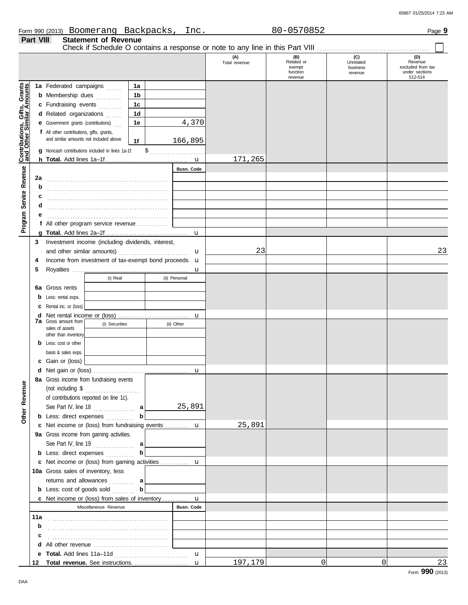65867 01/25/2014 7:23 AM

|                              | Part VIII | <b>Statement of Revenue</b>                                        |                |               |                   |                      |                                                      |                                         |                                                                  |
|------------------------------|-----------|--------------------------------------------------------------------|----------------|---------------|-------------------|----------------------|------------------------------------------------------|-----------------------------------------|------------------------------------------------------------------|
|                              |           |                                                                    |                |               |                   | (A)<br>Total revenue | $(B)$<br>Related or<br>exempt<br>function<br>revenue | (C)<br>Unrelated<br>business<br>revenue | (D)<br>Revenue<br>excluded from tax<br>under sections<br>512-514 |
|                              |           | 1a Federated campaigns                                             | 1a             |               |                   |                      |                                                      |                                         |                                                                  |
|                              |           | <b>b</b> Membership dues                                           | 1 <sub>b</sub> |               |                   |                      |                                                      |                                         |                                                                  |
|                              |           | c Fundraising events                                               | 1 <sub>c</sub> |               |                   |                      |                                                      |                                         |                                                                  |
|                              |           | d Related organizations<br>.                                       | 1 <sub>d</sub> |               |                   |                      |                                                      |                                         |                                                                  |
|                              |           | <b>e</b> Government grants (contributions)                         | 1e             |               | 4,370             |                      |                                                      |                                         |                                                                  |
|                              |           | f All other contributions, gifts, grants,                          |                |               |                   |                      |                                                      |                                         |                                                                  |
|                              |           | and similar amounts not included above                             | 1f             |               | 166,895           |                      |                                                      |                                         |                                                                  |
|                              | g         | Noncash contributions included in lines 1a-1f:                     |                | $\frac{1}{2}$ | . <b>.</b>        |                      |                                                      |                                         |                                                                  |
| Contributions, Gifts, Grants |           |                                                                    |                |               |                   | 171,265              |                                                      |                                         |                                                                  |
|                              |           |                                                                    |                |               | Busn. Code        |                      |                                                      |                                         |                                                                  |
| Service Revenue              | 2a        |                                                                    |                |               |                   |                      |                                                      |                                         |                                                                  |
|                              | b         |                                                                    |                |               |                   |                      |                                                      |                                         |                                                                  |
|                              | c         |                                                                    |                |               |                   |                      |                                                      |                                         |                                                                  |
|                              | d         |                                                                    |                |               |                   |                      |                                                      |                                         |                                                                  |
|                              |           |                                                                    |                |               |                   |                      |                                                      |                                         |                                                                  |
| Program                      |           | f All other program service revenue $\ldots$                       |                |               |                   |                      |                                                      |                                         |                                                                  |
|                              |           |                                                                    |                |               | $\mathbf u$       |                      |                                                      |                                         |                                                                  |
|                              | 3         | Investment income (including dividends, interest,                  |                |               |                   |                      |                                                      |                                         |                                                                  |
|                              |           | and other similar amounts)                                         |                |               | u                 | 23                   |                                                      |                                         | 23                                                               |
|                              | 4         | Income from investment of tax-exempt bond proceeds                 |                |               | $\mathbf u$       |                      |                                                      |                                         |                                                                  |
|                              | 5         |                                                                    |                |               | u                 |                      |                                                      |                                         |                                                                  |
|                              |           | (i) Real                                                           |                |               | (ii) Personal     |                      |                                                      |                                         |                                                                  |
|                              | 6а        | Gross rents                                                        |                |               |                   |                      |                                                      |                                         |                                                                  |
|                              | b         | Less: rental exps.                                                 |                |               |                   |                      |                                                      |                                         |                                                                  |
|                              | c         | Rental inc. or (loss)                                              |                |               |                   |                      |                                                      |                                         |                                                                  |
|                              | d         | <b>7a</b> Gross amount from                                        |                |               | u                 |                      |                                                      |                                         |                                                                  |
|                              |           | (i) Securities<br>sales of assets                                  |                |               | (ii) Other        |                      |                                                      |                                         |                                                                  |
|                              |           | other than inventory                                               |                |               |                   |                      |                                                      |                                         |                                                                  |
|                              |           | <b>b</b> Less: cost or other                                       |                |               |                   |                      |                                                      |                                         |                                                                  |
|                              |           | basis & sales exps.                                                |                |               |                   |                      |                                                      |                                         |                                                                  |
|                              |           | c Gain or (loss)                                                   |                |               |                   |                      |                                                      |                                         |                                                                  |
|                              |           |                                                                    |                |               | u                 |                      |                                                      |                                         |                                                                  |
|                              |           | 8a Gross income from fundraising events                            |                |               |                   |                      |                                                      |                                         |                                                                  |
| Other Revenue                |           | (not including $\$\dots$<br>of contributions reported on line 1c). |                |               |                   |                      |                                                      |                                         |                                                                  |
|                              |           |                                                                    |                |               | 25,891            |                      |                                                      |                                         |                                                                  |
|                              |           | <b>b</b> Less: direct expenses                                     | b              |               |                   |                      |                                                      |                                         |                                                                  |
|                              |           | c Net income or (loss) from fundraising events  u                  |                |               |                   | 25,891               |                                                      |                                         |                                                                  |
|                              |           | 9a Gross income from gaming activities.                            |                |               |                   |                      |                                                      |                                         |                                                                  |
|                              |           | See Part IV, line 19                                               | a              |               |                   |                      |                                                      |                                         |                                                                  |
|                              |           | <b>b</b> Less: direct expenses <i>minimum</i>                      | b              |               |                   |                      |                                                      |                                         |                                                                  |
|                              |           | c Net income or (loss) from gaming activities  u                   |                |               |                   |                      |                                                      |                                         |                                                                  |
|                              |           | 10a Gross sales of inventory, less                                 |                |               |                   |                      |                                                      |                                         |                                                                  |
|                              |           | returns and allowances  a                                          |                |               |                   |                      |                                                      |                                         |                                                                  |
|                              |           | <b>b</b> Less: cost of goods sold                                  | b              |               |                   |                      |                                                      |                                         |                                                                  |
|                              |           | c Net income or (loss) from sales of inventory  u                  |                |               |                   |                      |                                                      |                                         |                                                                  |
|                              |           | Miscellaneous Revenue                                              |                |               | <b>Busn. Code</b> |                      |                                                      |                                         |                                                                  |
|                              |           |                                                                    |                |               |                   |                      |                                                      |                                         |                                                                  |
|                              | b         |                                                                    |                |               |                   |                      |                                                      |                                         |                                                                  |
|                              | c         |                                                                    |                |               |                   |                      |                                                      |                                         |                                                                  |
|                              |           |                                                                    |                |               |                   |                      |                                                      |                                         |                                                                  |
|                              |           |                                                                    |                |               | $\mathbf{u}$      |                      |                                                      |                                         |                                                                  |
|                              | 12        |                                                                    |                |               | $\mathbf{u}$      | 197,179              | $\overline{0}$                                       | $\overline{0}$                          | 23                                                               |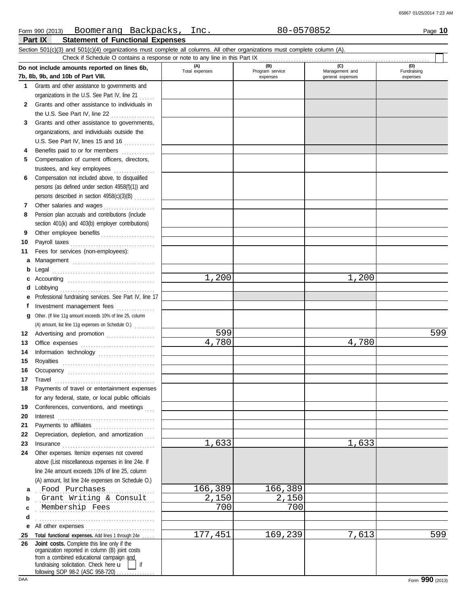## **Part IX Statement of Functional Expenses** Form 990 (2013) Page **10** Boomerang Backpacks, Inc. 80-0570852 Section 501(c)(3) and 501(c)(4) organizations must complete all columns. All other organizations must complete column (A).

|              | Check if Schedule O contains a response or note to any line in this Part IX                                                                                                                                                    |                       |                                    |                                           |                                |
|--------------|--------------------------------------------------------------------------------------------------------------------------------------------------------------------------------------------------------------------------------|-----------------------|------------------------------------|-------------------------------------------|--------------------------------|
|              | Do not include amounts reported on lines 6b,<br>7b, 8b, 9b, and 10b of Part VIII.                                                                                                                                              | (A)<br>Total expenses | (B)<br>Program service<br>expenses | (C)<br>Management and<br>general expenses | (D)<br>Fundraising<br>expenses |
| 1.           | Grants and other assistance to governments and                                                                                                                                                                                 |                       |                                    |                                           |                                |
|              | organizations in the U.S. See Part IV, line 21                                                                                                                                                                                 |                       |                                    |                                           |                                |
| $\mathbf{2}$ | Grants and other assistance to individuals in                                                                                                                                                                                  |                       |                                    |                                           |                                |
|              | the U.S. See Part IV, line 22                                                                                                                                                                                                  |                       |                                    |                                           |                                |
| 3            | Grants and other assistance to governments,                                                                                                                                                                                    |                       |                                    |                                           |                                |
|              | organizations, and individuals outside the                                                                                                                                                                                     |                       |                                    |                                           |                                |
|              | U.S. See Part IV, lines 15 and 16                                                                                                                                                                                              |                       |                                    |                                           |                                |
| 4            | Benefits paid to or for members                                                                                                                                                                                                |                       |                                    |                                           |                                |
| 5            | Compensation of current officers, directors,                                                                                                                                                                                   |                       |                                    |                                           |                                |
|              | trustees, and key employees                                                                                                                                                                                                    |                       |                                    |                                           |                                |
| 6            | Compensation not included above, to disqualified                                                                                                                                                                               |                       |                                    |                                           |                                |
|              | persons (as defined under section 4958(f)(1)) and                                                                                                                                                                              |                       |                                    |                                           |                                |
|              | persons described in section 4958(c)(3)(B)                                                                                                                                                                                     |                       |                                    |                                           |                                |
| 7            | Other salaries and wages                                                                                                                                                                                                       |                       |                                    |                                           |                                |
| 8            | Pension plan accruals and contributions (include                                                                                                                                                                               |                       |                                    |                                           |                                |
|              | section 401(k) and 403(b) employer contributions)                                                                                                                                                                              |                       |                                    |                                           |                                |
| 9            | Other employee benefits                                                                                                                                                                                                        |                       |                                    |                                           |                                |
| 10           | Payroll taxes                                                                                                                                                                                                                  |                       |                                    |                                           |                                |
| 11           | Fees for services (non-employees):                                                                                                                                                                                             |                       |                                    |                                           |                                |
| а            | Management                                                                                                                                                                                                                     |                       |                                    |                                           |                                |
| b            | Legal                                                                                                                                                                                                                          |                       |                                    |                                           |                                |
| c            |                                                                                                                                                                                                                                | 1,200                 |                                    | 1,200                                     |                                |
| d            | Lobbying                                                                                                                                                                                                                       |                       |                                    |                                           |                                |
| е            | Professional fundraising services. See Part IV, line 17                                                                                                                                                                        |                       |                                    |                                           |                                |
| f            |                                                                                                                                                                                                                                |                       |                                    |                                           |                                |
| g            | Other. (If line 11g amount exceeds 10% of line 25, column                                                                                                                                                                      |                       |                                    |                                           |                                |
|              | (A) amount, list line 11g expenses on Schedule O.)                                                                                                                                                                             | 599                   |                                    |                                           | 599                            |
| 12           | Advertising and promotion                                                                                                                                                                                                      | 4,780                 |                                    | 4,780                                     |                                |
| 13           | Office expenses                                                                                                                                                                                                                |                       |                                    |                                           |                                |
| 14           | Information technology                                                                                                                                                                                                         |                       |                                    |                                           |                                |
| 15<br>16     | Royalties                                                                                                                                                                                                                      |                       |                                    |                                           |                                |
| 17           | Travel                                                                                                                                                                                                                         |                       |                                    |                                           |                                |
| 18           | Payments of travel or entertainment expenses                                                                                                                                                                                   |                       |                                    |                                           |                                |
|              | for any federal, state, or local public officials                                                                                                                                                                              |                       |                                    |                                           |                                |
| 19           | Conferences, conventions, and meetings                                                                                                                                                                                         |                       |                                    |                                           |                                |
| 20           | Interest                                                                                                                                                                                                                       |                       |                                    |                                           |                                |
| 21           |                                                                                                                                                                                                                                |                       |                                    |                                           |                                |
| 22           | Depreciation, depletion, and amortization                                                                                                                                                                                      |                       |                                    |                                           |                                |
| 23           | Insurance                                                                                                                                                                                                                      | 1,633                 |                                    | 1,633                                     |                                |
| 24           | Other expenses. Itemize expenses not covered                                                                                                                                                                                   |                       |                                    |                                           |                                |
|              | above (List miscellaneous expenses in line 24e. If                                                                                                                                                                             |                       |                                    |                                           |                                |
|              | line 24e amount exceeds 10% of line 25, column                                                                                                                                                                                 |                       |                                    |                                           |                                |
|              | (A) amount, list line 24e expenses on Schedule O.)                                                                                                                                                                             |                       |                                    |                                           |                                |
| a            | Food Purchases                                                                                                                                                                                                                 | 166,389               | 166,389                            |                                           |                                |
| b            | Grant Writing & Consult                                                                                                                                                                                                        | 2,150                 | 2,150                              |                                           |                                |
| c            | Membership Fees                                                                                                                                                                                                                | 700                   | 700                                |                                           |                                |
| d            |                                                                                                                                                                                                                                |                       |                                    |                                           |                                |
| е            | All other expenses                                                                                                                                                                                                             |                       |                                    |                                           |                                |
| 25           | Total functional expenses. Add lines 1 through 24e                                                                                                                                                                             | 177,451               | 169,239                            | 7,613                                     | 599                            |
| 26           | Joint costs. Complete this line only if the<br>organization reported in column (B) joint costs<br>from a combined educational campaign and<br>fundraising solicitation. Check here u<br>if<br>following SOP 98-2 (ASC 958-720) |                       |                                    |                                           |                                |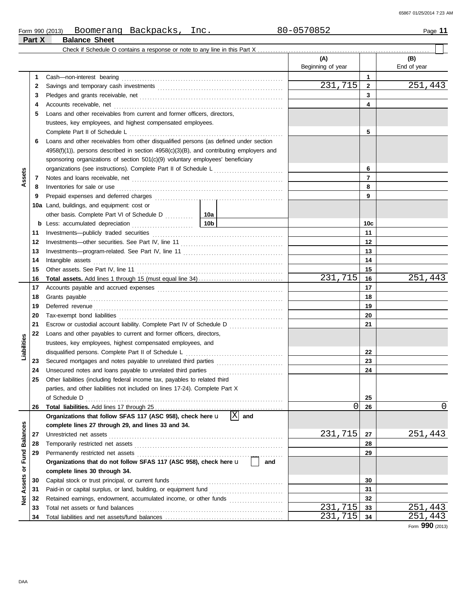| Form 990 (2013) | Boomerang            | Backpacks, | Inc. | 80-0570852 | -46<br>Page |
|-----------------|----------------------|------------|------|------------|-------------|
| Part X          | <b>Balance Sheet</b> |            |      |            |             |

|                 |          |                                                                                                                                                                                                                                     |                 | (A)               |              | (B)         |
|-----------------|----------|-------------------------------------------------------------------------------------------------------------------------------------------------------------------------------------------------------------------------------------|-----------------|-------------------|--------------|-------------|
|                 |          |                                                                                                                                                                                                                                     |                 | Beginning of year |              | End of year |
|                 | 1        |                                                                                                                                                                                                                                     |                 |                   | 1            |             |
|                 | 2        |                                                                                                                                                                                                                                     |                 | 231,715           | $\mathbf{2}$ | 251,443     |
|                 | 3        |                                                                                                                                                                                                                                     |                 |                   | 3            |             |
|                 | 4        |                                                                                                                                                                                                                                     |                 |                   | 4            |             |
|                 | 5        | Loans and other receivables from current and former officers, directors,                                                                                                                                                            |                 |                   |              |             |
|                 |          | trustees, key employees, and highest compensated employees.                                                                                                                                                                         |                 |                   |              |             |
|                 |          |                                                                                                                                                                                                                                     |                 |                   | 5            |             |
|                 | 6        | Loans and other receivables from other disqualified persons (as defined under section                                                                                                                                               |                 |                   |              |             |
|                 |          | $4958(f)(1)$ , persons described in section $4958(c)(3)(B)$ , and contributing employers and                                                                                                                                        |                 |                   |              |             |
|                 |          | sponsoring organizations of section 501(c)(9) voluntary employees' beneficiary                                                                                                                                                      |                 |                   |              |             |
|                 |          | organizations (see instructions). Complete Part II of Schedule L <sub>11111111111111111111111</sub>                                                                                                                                 |                 |                   | 6            |             |
| Assets          | 7        |                                                                                                                                                                                                                                     |                 |                   | 7            |             |
|                 | 8        | Inventories for sale or use <i>communication</i> and the contract of the contract of the contract of the contract of the contract of the contract of the contract of the contract of the contract of the contract of the contract o |                 |                   | 8            |             |
|                 | 9        |                                                                                                                                                                                                                                     |                 |                   | 9            |             |
|                 |          | 10a Land, buildings, and equipment: cost or                                                                                                                                                                                         |                 |                   |              |             |
|                 |          |                                                                                                                                                                                                                                     | 10a             |                   |              |             |
|                 |          |                                                                                                                                                                                                                                     | 10 <sub>b</sub> |                   | 10c          |             |
|                 | 11       |                                                                                                                                                                                                                                     |                 |                   | 11           |             |
|                 | 12       |                                                                                                                                                                                                                                     |                 |                   | 12           |             |
|                 | 13       |                                                                                                                                                                                                                                     |                 |                   | 13           |             |
|                 | 14       |                                                                                                                                                                                                                                     |                 |                   | 14           |             |
|                 | 15       |                                                                                                                                                                                                                                     |                 |                   | 15           |             |
|                 | 16       |                                                                                                                                                                                                                                     |                 | 231,715           | 16           | 251,443     |
|                 | 17       |                                                                                                                                                                                                                                     |                 |                   | 17           |             |
|                 | 18       |                                                                                                                                                                                                                                     |                 | 18                |              |             |
|                 | 19       |                                                                                                                                                                                                                                     |                 |                   | 19           |             |
|                 | 20       |                                                                                                                                                                                                                                     |                 |                   | 20           |             |
|                 | 21       | Escrow or custodial account liability. Complete Part IV of Schedule D                                                                                                                                                               |                 |                   | 21           |             |
|                 | 22       | Loans and other payables to current and former officers, directors,                                                                                                                                                                 |                 |                   |              |             |
|                 |          | trustees, key employees, highest compensated employees, and                                                                                                                                                                         |                 |                   |              |             |
| Liabilities     |          |                                                                                                                                                                                                                                     |                 |                   | 22           |             |
|                 | 23       |                                                                                                                                                                                                                                     |                 |                   | 23           |             |
|                 | 24       |                                                                                                                                                                                                                                     |                 |                   | 24           |             |
|                 | 25       | Other liabilities (including federal income tax, payables to related third                                                                                                                                                          |                 |                   |              |             |
|                 |          | parties, and other liabilities not included on lines 17-24). Complete Part X                                                                                                                                                        |                 |                   |              |             |
|                 |          | of Schedule D                                                                                                                                                                                                                       |                 |                   | 25           |             |
|                 | 26       |                                                                                                                                                                                                                                     |                 | 0                 | 26           | 0           |
|                 |          | Organizations that follow SFAS 117 (ASC 958), check here u                                                                                                                                                                          | X <br>and       |                   |              |             |
|                 |          | complete lines 27 through 29, and lines 33 and 34.                                                                                                                                                                                  |                 |                   |              |             |
| <b>Balances</b> | 27       |                                                                                                                                                                                                                                     |                 | 231,715           | 27           | 251,443     |
|                 | 28       |                                                                                                                                                                                                                                     |                 |                   | 28           |             |
| Fund            | 29       | Organizations that do not follow SFAS 117 (ASC 958), check here u                                                                                                                                                                   |                 |                   | 29           |             |
| ৯               |          |                                                                                                                                                                                                                                     | and             |                   |              |             |
|                 |          | complete lines 30 through 34.<br>Capital stock or trust principal, or current funds                                                                                                                                                 |                 |                   |              |             |
| Assets          | 30<br>31 |                                                                                                                                                                                                                                     |                 |                   | 30<br>31     |             |
|                 |          | Paid-in or capital surplus, or land, building, or equipment fund [<br>Retained earnings, endowment, accumulated income, or other funds                                                                                              |                 |                   | 32           |             |
| ğ               | 32<br>33 | Total net assets or fund balances                                                                                                                                                                                                   |                 | 231,715           | 33           | 251,443     |
|                 | 34       |                                                                                                                                                                                                                                     |                 | 231,715           | 34           | 251<br>443  |
|                 |          |                                                                                                                                                                                                                                     |                 |                   |              |             |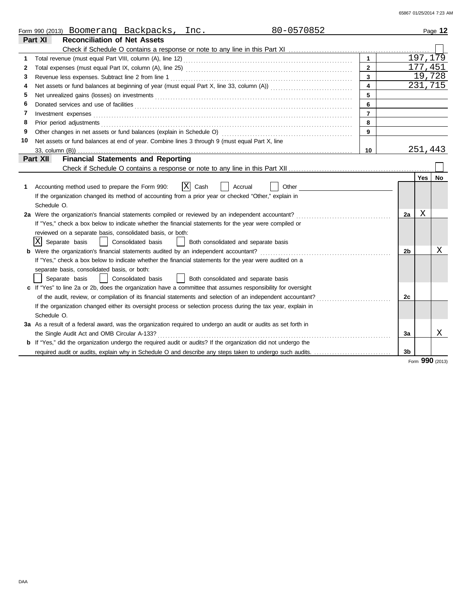|    | 80-0570852<br>Form 990 (2013) Boomerang Backpacks, Inc.                                                                                                                                                                              |                         |    |          | Page 12   |
|----|--------------------------------------------------------------------------------------------------------------------------------------------------------------------------------------------------------------------------------------|-------------------------|----|----------|-----------|
|    | <b>Reconciliation of Net Assets</b><br>Part XI                                                                                                                                                                                       |                         |    |          |           |
|    |                                                                                                                                                                                                                                      |                         |    |          |           |
|    |                                                                                                                                                                                                                                      | $\blacktriangleleft$    |    | 197, 179 |           |
| 2  |                                                                                                                                                                                                                                      | $\overline{2}$          |    | 177,451  |           |
| 3  |                                                                                                                                                                                                                                      | 3                       |    | 19,728   |           |
| 4  |                                                                                                                                                                                                                                      | $\overline{\mathbf{4}}$ |    | 231,715  |           |
| 5  |                                                                                                                                                                                                                                      | 5                       |    |          |           |
| 6  | Donated services and use of facilities <b>constant of the constant of the constant of the constant of the constant of the constant of the constant of the constant of the constant of the constant of the constant of the consta</b> | 6                       |    |          |           |
| 7  | Investment expenses <b>contract and the expenses</b>                                                                                                                                                                                 | $\overline{7}$          |    |          |           |
| 8  | Prior period adjustments                                                                                                                                                                                                             | 8                       |    |          |           |
| 9  |                                                                                                                                                                                                                                      | 9                       |    |          |           |
| 10 | Net assets or fund balances at end of year. Combine lines 3 through 9 (must equal Part X, line                                                                                                                                       |                         |    |          |           |
|    |                                                                                                                                                                                                                                      | 10                      |    | 251,443  |           |
|    | Part XII<br><b>Financial Statements and Reporting</b>                                                                                                                                                                                |                         |    |          |           |
|    |                                                                                                                                                                                                                                      |                         |    |          |           |
|    |                                                                                                                                                                                                                                      |                         |    | Yes      | <b>No</b> |
| 1  | X <br>Cash<br>Other<br>Accounting method used to prepare the Form 990:<br>Accrual                                                                                                                                                    |                         |    |          |           |
|    | If the organization changed its method of accounting from a prior year or checked "Other," explain in                                                                                                                                |                         |    |          |           |
|    | Schedule O.                                                                                                                                                                                                                          |                         |    |          |           |
|    | 2a Were the organization's financial statements compiled or reviewed by an independent accountant?                                                                                                                                   |                         | 2a | Χ        |           |
|    | If "Yes," check a box below to indicate whether the financial statements for the year were compiled or                                                                                                                               |                         |    |          |           |
|    | reviewed on a separate basis, consolidated basis, or both:                                                                                                                                                                           |                         |    |          |           |
|    | X Separate basis<br>  Consolidated basis<br>Both consolidated and separate basis                                                                                                                                                     |                         |    |          |           |
| b  | Were the organization's financial statements audited by an independent accountant?                                                                                                                                                   |                         | 2b |          | Χ         |
|    | If "Yes," check a box below to indicate whether the financial statements for the year were audited on a                                                                                                                              |                         |    |          |           |
|    | separate basis, consolidated basis, or both:                                                                                                                                                                                         |                         |    |          |           |
|    | Separate basis<br>Consolidated basis<br>Both consolidated and separate basis                                                                                                                                                         |                         |    |          |           |
|    | c If "Yes" to line 2a or 2b, does the organization have a committee that assumes responsibility for oversight                                                                                                                        |                         |    |          |           |
|    | of the audit, review, or compilation of its financial statements and selection of an independent accountant?                                                                                                                         |                         | 2c |          |           |
|    | If the organization changed either its oversight process or selection process during the tax year, explain in                                                                                                                        |                         |    |          |           |
|    | Schedule O.                                                                                                                                                                                                                          |                         |    |          |           |
|    | 3a As a result of a federal award, was the organization required to undergo an audit or audits as set forth in                                                                                                                       |                         |    |          |           |
|    | the Single Audit Act and OMB Circular A-133?                                                                                                                                                                                         |                         | За |          | X         |
|    | <b>b</b> If "Yes," did the organization undergo the required audit or audits? If the organization did not undergo the                                                                                                                |                         |    |          |           |
|    |                                                                                                                                                                                                                                      |                         | 3b |          |           |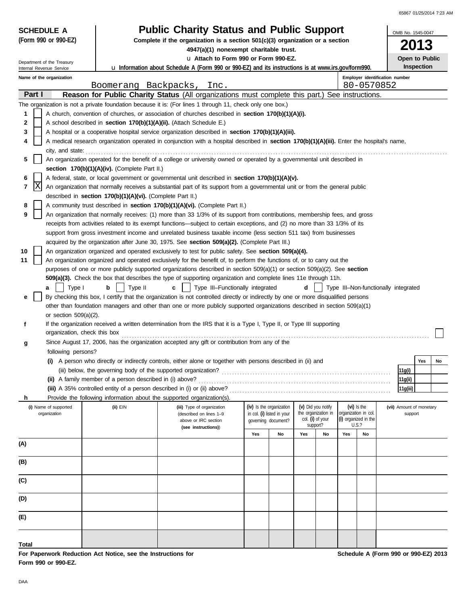| 65867 01/25/2014 7:23 AM |  |
|--------------------------|--|
|                          |  |

| <b>SCHEDULE A</b>                                    |                                                                                                                              | <b>Public Charity Status and Public Support</b>                                                                                                                                                                    |     |                            |                              |                     |     |                               |                                      | OMB No. 1545-0047                   |    |  |  |
|------------------------------------------------------|------------------------------------------------------------------------------------------------------------------------------|--------------------------------------------------------------------------------------------------------------------------------------------------------------------------------------------------------------------|-----|----------------------------|------------------------------|---------------------|-----|-------------------------------|--------------------------------------|-------------------------------------|----|--|--|
| (Form 990 or 990-EZ)                                 |                                                                                                                              | Complete if the organization is a section $501(c)(3)$ organization or a section                                                                                                                                    |     |                            |                              |                     |     |                               |                                      |                                     | 3  |  |  |
|                                                      |                                                                                                                              | 4947(a)(1) nonexempt charitable trust.                                                                                                                                                                             |     |                            |                              |                     |     |                               |                                      |                                     |    |  |  |
| Department of the Treasury                           |                                                                                                                              | La Attach to Form 990 or Form 990-EZ.<br><b>u</b> Information about Schedule A (Form 990 or 990-EZ) and its instructions is at www.irs.gov/form990.                                                                |     |                            |                              |                     |     |                               |                                      | Open to Public<br><b>Inspection</b> |    |  |  |
| Internal Revenue Service<br>Name of the organization |                                                                                                                              |                                                                                                                                                                                                                    |     |                            |                              |                     |     |                               | Employer identification number       |                                     |    |  |  |
|                                                      | Boomerang Backpacks,                                                                                                         | Inc.                                                                                                                                                                                                               |     |                            |                              |                     |     | 80-0570852                    |                                      |                                     |    |  |  |
| Part I                                               |                                                                                                                              | Reason for Public Charity Status (All organizations must complete this part.) See instructions.                                                                                                                    |     |                            |                              |                     |     |                               |                                      |                                     |    |  |  |
|                                                      |                                                                                                                              | The organization is not a private foundation because it is: (For lines 1 through 11, check only one box.)                                                                                                          |     |                            |                              |                     |     |                               |                                      |                                     |    |  |  |
| 1                                                    |                                                                                                                              | A church, convention of churches, or association of churches described in section 170(b)(1)(A)(i).                                                                                                                 |     |                            |                              |                     |     |                               |                                      |                                     |    |  |  |
| 2                                                    | A school described in section 170(b)(1)(A)(ii). (Attach Schedule E.)                                                         |                                                                                                                                                                                                                    |     |                            |                              |                     |     |                               |                                      |                                     |    |  |  |
| 3                                                    |                                                                                                                              | A hospital or a cooperative hospital service organization described in section 170(b)(1)(A)(iii).                                                                                                                  |     |                            |                              |                     |     |                               |                                      |                                     |    |  |  |
| 4                                                    |                                                                                                                              | A medical research organization operated in conjunction with a hospital described in section 170(b)(1)(A)(iii). Enter the hospital's name,                                                                         |     |                            |                              |                     |     |                               |                                      |                                     |    |  |  |
| city, and state:<br>5                                |                                                                                                                              | An organization operated for the benefit of a college or university owned or operated by a governmental unit described in                                                                                          |     |                            |                              |                     |     |                               |                                      |                                     |    |  |  |
|                                                      | section 170(b)(1)(A)(iv). (Complete Part II.)                                                                                |                                                                                                                                                                                                                    |     |                            |                              |                     |     |                               |                                      |                                     |    |  |  |
| 6                                                    |                                                                                                                              | A federal, state, or local government or governmental unit described in section 170(b)(1)(A)(v).                                                                                                                   |     |                            |                              |                     |     |                               |                                      |                                     |    |  |  |
| X<br>7                                               | An organization that normally receives a substantial part of its support from a governmental unit or from the general public |                                                                                                                                                                                                                    |     |                            |                              |                     |     |                               |                                      |                                     |    |  |  |
|                                                      | described in section 170(b)(1)(A)(vi). (Complete Part II.)                                                                   |                                                                                                                                                                                                                    |     |                            |                              |                     |     |                               |                                      |                                     |    |  |  |
| 8                                                    |                                                                                                                              | A community trust described in section 170(b)(1)(A)(vi). (Complete Part II.)                                                                                                                                       |     |                            |                              |                     |     |                               |                                      |                                     |    |  |  |
| 9                                                    |                                                                                                                              | An organization that normally receives: (1) more than 33 1/3% of its support from contributions, membership fees, and gross                                                                                        |     |                            |                              |                     |     |                               |                                      |                                     |    |  |  |
|                                                      |                                                                                                                              | receipts from activities related to its exempt functions—subject to certain exceptions, and (2) no more than 33 1/3% of its                                                                                        |     |                            |                              |                     |     |                               |                                      |                                     |    |  |  |
|                                                      |                                                                                                                              | support from gross investment income and unrelated business taxable income (less section 511 tax) from businesses<br>acquired by the organization after June 30, 1975. See section 509(a)(2). (Complete Part III.) |     |                            |                              |                     |     |                               |                                      |                                     |    |  |  |
| 10                                                   |                                                                                                                              | An organization organized and operated exclusively to test for public safety. See section 509(a)(4).                                                                                                               |     |                            |                              |                     |     |                               |                                      |                                     |    |  |  |
| 11                                                   |                                                                                                                              | An organization organized and operated exclusively for the benefit of, to perform the functions of, or to carry out the                                                                                            |     |                            |                              |                     |     |                               |                                      |                                     |    |  |  |
|                                                      |                                                                                                                              | purposes of one or more publicly supported organizations described in section 509(a)(1) or section 509(a)(2). See section                                                                                          |     |                            |                              |                     |     |                               |                                      |                                     |    |  |  |
|                                                      |                                                                                                                              | 509(a)(3). Check the box that describes the type of supporting organization and complete lines 11e through 11h.                                                                                                    |     |                            |                              |                     |     |                               |                                      |                                     |    |  |  |
| Type I<br>a                                          | Type II<br>b                                                                                                                 | Type III-Functionally integrated                                                                                                                                                                                   |     |                            | d                            |                     |     |                               | Type III-Non-functionally integrated |                                     |    |  |  |
| е                                                    |                                                                                                                              | By checking this box, I certify that the organization is not controlled directly or indirectly by one or more disqualified persons                                                                                 |     |                            |                              |                     |     |                               |                                      |                                     |    |  |  |
|                                                      |                                                                                                                              | other than foundation managers and other than one or more publicly supported organizations described in section 509(a)(1)                                                                                          |     |                            |                              |                     |     |                               |                                      |                                     |    |  |  |
| or section $509(a)(2)$ .<br>f                        |                                                                                                                              | If the organization received a written determination from the IRS that it is a Type I, Type II, or Type III supporting                                                                                             |     |                            |                              |                     |     |                               |                                      |                                     |    |  |  |
| organization, check this box                         |                                                                                                                              |                                                                                                                                                                                                                    |     |                            |                              |                     |     |                               |                                      |                                     |    |  |  |
| g                                                    |                                                                                                                              | Since August 17, 2006, has the organization accepted any gift or contribution from any of the                                                                                                                      |     |                            |                              |                     |     |                               |                                      |                                     |    |  |  |
| following persons?                                   |                                                                                                                              |                                                                                                                                                                                                                    |     |                            |                              |                     |     |                               |                                      |                                     |    |  |  |
|                                                      |                                                                                                                              | (i) A person who directly or indirectly controls, either alone or together with persons described in (ii) and                                                                                                      |     |                            |                              |                     |     |                               |                                      | Yes                                 | No |  |  |
|                                                      |                                                                                                                              |                                                                                                                                                                                                                    |     |                            |                              |                     |     |                               |                                      | 11g(i)                              |    |  |  |
|                                                      | (ii) A family member of a person described in (i) above?                                                                     |                                                                                                                                                                                                                    |     |                            |                              |                     |     |                               |                                      | 11g(ii)                             |    |  |  |
|                                                      | (iii) A 35% controlled entity of a person described in (i) or (ii) above?                                                    |                                                                                                                                                                                                                    |     |                            |                              |                     |     |                               |                                      | 11g(iii)                            |    |  |  |
| h.<br>(i) Name of supported                          | (ii) EIN                                                                                                                     | Provide the following information about the supported organization(s).<br>(iii) Type of organization                                                                                                               |     | (iv) Is the organization   |                              | (v) Did you notify  |     | (vi) Is the                   |                                      | (vii) Amount of monetary            |    |  |  |
| organization                                         |                                                                                                                              | (described on lines 1-9                                                                                                                                                                                            |     | in col. (i) listed in your |                              | the organization in |     | organization in col.          |                                      | support                             |    |  |  |
|                                                      |                                                                                                                              | above or IRC section<br>(see instructions))                                                                                                                                                                        |     | governing document?        | col. (i) of your<br>support? |                     |     | (i) organized in the<br>U.S.? |                                      |                                     |    |  |  |
|                                                      |                                                                                                                              |                                                                                                                                                                                                                    | Yes | No                         | Yes                          | No                  | Yes | No                            |                                      |                                     |    |  |  |
| (A)                                                  |                                                                                                                              |                                                                                                                                                                                                                    |     |                            |                              |                     |     |                               |                                      |                                     |    |  |  |
|                                                      |                                                                                                                              |                                                                                                                                                                                                                    |     |                            |                              |                     |     |                               |                                      |                                     |    |  |  |
| (B)                                                  |                                                                                                                              |                                                                                                                                                                                                                    |     |                            |                              |                     |     |                               |                                      |                                     |    |  |  |
|                                                      |                                                                                                                              |                                                                                                                                                                                                                    |     |                            |                              |                     |     |                               |                                      |                                     |    |  |  |
| (C)                                                  |                                                                                                                              |                                                                                                                                                                                                                    |     |                            |                              |                     |     |                               |                                      |                                     |    |  |  |
| (D)                                                  |                                                                                                                              |                                                                                                                                                                                                                    |     |                            |                              |                     |     |                               |                                      |                                     |    |  |  |
|                                                      |                                                                                                                              |                                                                                                                                                                                                                    |     |                            |                              |                     |     |                               |                                      |                                     |    |  |  |
| (E)                                                  |                                                                                                                              |                                                                                                                                                                                                                    |     |                            |                              |                     |     |                               |                                      |                                     |    |  |  |
|                                                      |                                                                                                                              |                                                                                                                                                                                                                    |     |                            |                              |                     |     |                               |                                      |                                     |    |  |  |
|                                                      |                                                                                                                              |                                                                                                                                                                                                                    |     |                            |                              |                     |     |                               |                                      |                                     |    |  |  |
| Total                                                |                                                                                                                              |                                                                                                                                                                                                                    |     |                            |                              |                     |     |                               |                                      |                                     |    |  |  |

**For Paperwork Reduction Act Notice, see the Instructions for Form 990 or 990-EZ.**

**Schedule A (Form 990 or 990-EZ) 2013**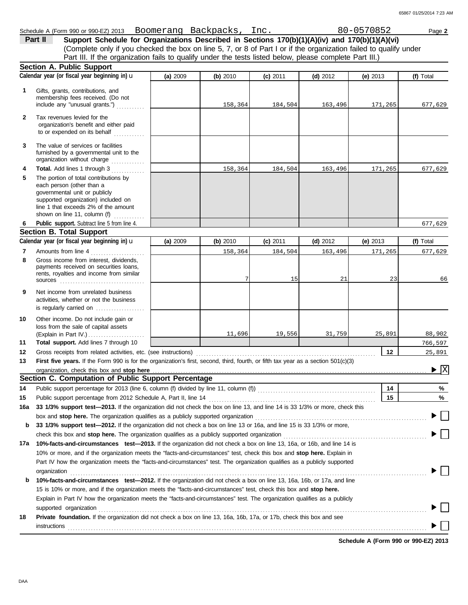(Complete only if you checked the box on line 5, 7, or 8 of Part I or if the organization failed to qualify under **Part II** Support Schedule for Organizations Described in Sections 170(b)(1)(A)(iv) and 170(b)(1)(A)(vi) Part III. If the organization fails to qualify under the tests listed below, please complete Part III.)

|     | <b>Section A. Public Support</b>                                                                                                                                                                                   |          |          |            |            |            |                                             |
|-----|--------------------------------------------------------------------------------------------------------------------------------------------------------------------------------------------------------------------|----------|----------|------------|------------|------------|---------------------------------------------|
|     | Calendar year (or fiscal year beginning in) u                                                                                                                                                                      | (a) 2009 | (b) 2010 | $(c)$ 2011 | (d) $2012$ | (e) $2013$ | (f) Total                                   |
| 1   | Gifts, grants, contributions, and<br>membership fees received. (Do not<br>include any "unusual grants.")                                                                                                           |          | 158,364  | 184,504    | 163,496    | 171,265    | 677,629                                     |
| 2   | Tax revenues levied for the<br>organization's benefit and either paid<br>to or expended on its behalf                                                                                                              |          |          |            |            |            |                                             |
| 3   | The value of services or facilities<br>furnished by a governmental unit to the<br>organization without charge                                                                                                      |          |          |            |            |            |                                             |
| 4   | Total. Add lines 1 through 3<br>.                                                                                                                                                                                  |          | 158,364  | 184,504    | 163,496    | 171,265    | 677,629                                     |
| 5   | The portion of total contributions by<br>each person (other than a<br>governmental unit or publicly<br>supported organization) included on<br>line 1 that exceeds 2% of the amount<br>shown on line 11, column (f) |          |          |            |            |            |                                             |
| 6   | Public support. Subtract line 5 from line 4.                                                                                                                                                                       |          |          |            |            |            | 677,629                                     |
|     | <b>Section B. Total Support</b>                                                                                                                                                                                    |          |          |            |            |            |                                             |
|     | Calendar year (or fiscal year beginning in) u                                                                                                                                                                      | (a) 2009 | (b) 2010 | $(c)$ 2011 | $(d)$ 2012 | (e) $2013$ | (f) Total                                   |
| 7   | Amounts from line 4<br>.                                                                                                                                                                                           |          | 158,364  | 184,504    | 163,496    | 171,265    | 677,629                                     |
| 8   | Gross income from interest, dividends,<br>payments received on securities loans,<br>rents, royalties and income from similar<br>SOUICES                                                                            |          |          | 15         | 21         | 23         | 66                                          |
| 9   | Net income from unrelated business<br>activities, whether or not the business<br>is regularly carried on                                                                                                           |          |          |            |            |            |                                             |
| 10  | Other income. Do not include gain or<br>loss from the sale of capital assets                                                                                                                                       |          | 11,696   | 19,556     | 31,759     | 25,891     | 88,902                                      |
| 11  | Total support. Add lines 7 through 10                                                                                                                                                                              |          |          |            |            |            | 766,597                                     |
| 12  | Gross receipts from related activities, etc. (see instructions)                                                                                                                                                    |          |          |            |            | $12 \,$    | 25,891                                      |
| 13  | First five years. If the Form 990 is for the organization's first, second, third, fourth, or fifth tax year as a section $501(c)(3)$                                                                               |          |          |            |            |            |                                             |
|     | organization, check this box and stop here                                                                                                                                                                         |          |          |            |            |            | $\blacktriangleright \overline{\mathbf{X}}$ |
|     | Section C. Computation of Public Support Percentage                                                                                                                                                                |          |          |            |            |            |                                             |
| 14  |                                                                                                                                                                                                                    |          |          |            |            | 14         | %                                           |
| 15  |                                                                                                                                                                                                                    |          |          |            |            | 15         | %                                           |
| 16a | 33 1/3% support test-2013. If the organization did not check the box on line 13, and line 14 is 33 1/3% or more, check this                                                                                        |          |          |            |            |            |                                             |
|     | box and stop here. The organization qualifies as a publicly supported organization                                                                                                                                 |          |          |            |            |            |                                             |
| b   | 33 1/3% support test-2012. If the organization did not check a box on line 13 or 16a, and line 15 is 33 1/3% or more,                                                                                              |          |          |            |            |            |                                             |
|     | check this box and stop here. The organization qualifies as a publicly supported organization                                                                                                                      |          |          |            |            |            |                                             |
| 17a | 10%-facts-and-circumstances test-2013. If the organization did not check a box on line 13, 16a, or 16b, and line 14 is                                                                                             |          |          |            |            |            |                                             |
|     | 10% or more, and if the organization meets the "facts-and-circumstances" test, check this box and stop here. Explain in                                                                                            |          |          |            |            |            |                                             |
|     | Part IV how the organization meets the "facts-and-circumstances" test. The organization qualifies as a publicly supported<br>organization                                                                          |          |          |            |            |            |                                             |
| b   | 10%-facts-and-circumstances test-2012. If the organization did not check a box on line 13, 16a, 16b, or 17a, and line                                                                                              |          |          |            |            |            |                                             |
|     | 15 is 10% or more, and if the organization meets the "facts-and-circumstances" test, check this box and stop here.                                                                                                 |          |          |            |            |            |                                             |
|     | Explain in Part IV how the organization meets the "facts-and-circumstances" test. The organization qualifies as a publicly<br>supported organization                                                               |          |          |            |            |            |                                             |
| 18  | Private foundation. If the organization did not check a box on line 13, 16a, 16b, 17a, or 17b, check this box and see                                                                                              |          |          |            |            |            |                                             |
|     | instructions                                                                                                                                                                                                       |          |          |            |            |            |                                             |

**Schedule A (Form 990 or 990-EZ) 2013**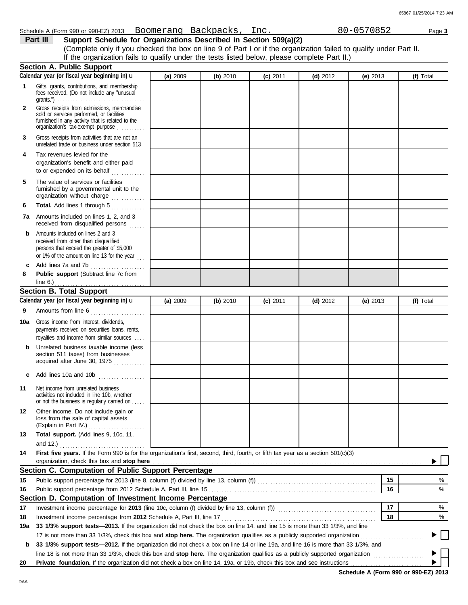| Schedule A (Form 990 or 990-EZ) 2013 Boomerang Backpacks, Inc.                    |  | 80-0570852 | Page 3 |
|-----------------------------------------------------------------------------------|--|------------|--------|
| <b>Part III</b> Support Schedule for Organizations Described in Section 509(a)(2) |  |            |        |

|              | (Complete only if you checked the box on line 9 of Part I or if the organization failed to qualify under Part II.<br>If the organization fails to qualify under the tests listed below, please complete Part II.)      |          |          |            |            |            |           |
|--------------|------------------------------------------------------------------------------------------------------------------------------------------------------------------------------------------------------------------------|----------|----------|------------|------------|------------|-----------|
|              | <b>Section A. Public Support</b>                                                                                                                                                                                       |          |          |            |            |            |           |
|              | Calendar year (or fiscal year beginning in) u                                                                                                                                                                          | (a) 2009 | (b) 2010 | $(c)$ 2011 | (d) $2012$ | (e) $2013$ | (f) Total |
| 1.           | Gifts, grants, contributions, and membership<br>fees received. (Do not include any "unusual                                                                                                                            |          |          |            |            |            |           |
| $\mathbf{2}$ | Gross receipts from admissions, merchandise<br>sold or services performed, or facilities<br>furnished in any activity that is related to the<br>organization's tax-exempt purpose                                      |          |          |            |            |            |           |
| 3            | Gross receipts from activities that are not an<br>unrelated trade or business under section 513                                                                                                                        |          |          |            |            |            |           |
| 4            | Tax revenues levied for the<br>organization's benefit and either paid<br>to or expended on its behalf                                                                                                                  |          |          |            |            |            |           |
| 5            | The value of services or facilities<br>furnished by a governmental unit to the<br>organization without charge                                                                                                          |          |          |            |            |            |           |
| 6            | Total. Add lines 1 through 5                                                                                                                                                                                           |          |          |            |            |            |           |
| 7a           | Amounts included on lines 1, 2, and 3<br>received from disqualified persons                                                                                                                                            |          |          |            |            |            |           |
| b            | Amounts included on lines 2 and 3<br>received from other than disqualified<br>persons that exceed the greater of \$5,000<br>or 1% of the amount on line 13 for the year $\begin{bmatrix} 1 & 1 \\ 1 & 1 \end{bmatrix}$ |          |          |            |            |            |           |
| c<br>8       | Add lines 7a and 7b<br>Public support (Subtract line 7c from                                                                                                                                                           |          |          |            |            |            |           |
|              | line 6.) $\ldots$ $\ldots$ $\ldots$ $\ldots$ $\ldots$ $\ldots$<br><b>Section B. Total Support</b>                                                                                                                      |          |          |            |            |            |           |
|              | Calendar year (or fiscal year beginning in) u                                                                                                                                                                          | (a) 2009 | (b) 2010 | $(c)$ 2011 | $(d)$ 2012 | (e) $2013$ | (f) Total |
| 9            | Amounts from line 6<br>.                                                                                                                                                                                               |          |          |            |            |            |           |
| 10a          | Gross income from interest, dividends,<br>payments received on securities loans, rents,<br>royalties and income from similar sources                                                                                   |          |          |            |            |            |           |
| b            | Unrelated business taxable income (less<br>section 511 taxes) from businesses<br>acquired after June 30, 1975                                                                                                          |          |          |            |            |            |           |
| C            | Add lines 10a and 10b                                                                                                                                                                                                  |          |          |            |            |            |           |
| 11           | Net income from unrelated business<br>activities not included in line 10b, whether<br>or not the business is regularly carried on.<br>$\ldots$                                                                         |          |          |            |            |            |           |
| 12           | Other income. Do not include gain or<br>loss from the sale of capital assets<br>(Explain in Part IV.)                                                                                                                  |          |          |            |            |            |           |
| 13           | Total support. (Add lines 9, 10c, 11,                                                                                                                                                                                  |          |          |            |            |            |           |
|              |                                                                                                                                                                                                                        |          |          |            |            |            |           |
| 14           | First five years. If the Form 990 is for the organization's first, second, third, fourth, or fifth tax year as a section 501(c)(3)<br>organization, check this box and stop here                                       |          |          |            |            |            |           |
|              | Section C. Computation of Public Support Percentage                                                                                                                                                                    |          |          |            |            |            |           |
| 15           |                                                                                                                                                                                                                        |          |          |            |            | 15         | %         |
| 16           |                                                                                                                                                                                                                        |          |          |            |            | 16         | %         |
|              | Section D. Computation of Investment Income Percentage                                                                                                                                                                 |          |          |            |            |            |           |
| 17           |                                                                                                                                                                                                                        |          |          |            |            | 17         | %         |
| 18           | Investment income percentage from 2012 Schedule A, Part III, line 17                                                                                                                                                   |          |          |            |            | 18         | %         |
| 19a          | 33 1/3% support tests-2013. If the organization did not check the box on line 14, and line 15 is more than 33 1/3%, and line                                                                                           |          |          |            |            |            |           |
|              | 17 is not more than 33 1/3%, check this box and stop here. The organization qualifies as a publicly supported organization                                                                                             |          |          |            |            |            |           |
| b            | 33 1/3% support tests—2012. If the organization did not check a box on line 14 or line 19a, and line 16 is more than 33 1/3%, and                                                                                      |          |          |            |            |            |           |
|              | line 18 is not more than 33 1/3%, check this box and stop here. The organization qualifies as a publicly supported organization                                                                                        |          |          |            |            |            | .         |
| 20           |                                                                                                                                                                                                                        |          |          |            |            |            |           |

**Schedule A (Form 990 or 990-EZ) 2013**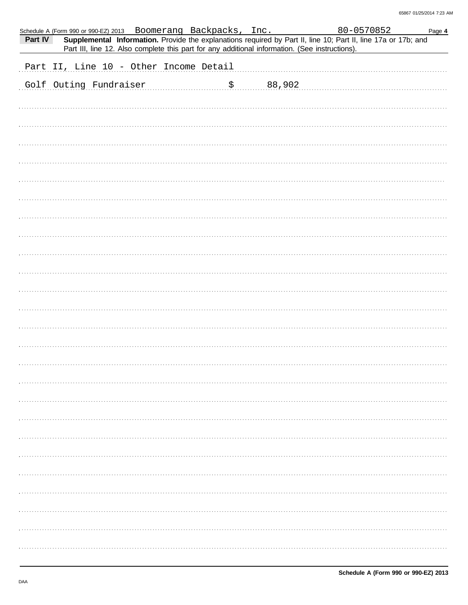|         | Schedule A (Form 990 or 990-EZ) 2013 Boomerang Backpacks, Inc. |                                                                                                |  | 80-0570852                                                                                                     | Page 4 |
|---------|----------------------------------------------------------------|------------------------------------------------------------------------------------------------|--|----------------------------------------------------------------------------------------------------------------|--------|
| Part IV |                                                                | Part III, line 12. Also complete this part for any additional information. (See instructions). |  | Supplemental Information. Provide the explanations required by Part II, line 10; Part II, line 17a or 17b; and |        |
|         |                                                                |                                                                                                |  |                                                                                                                |        |
|         | Part II, Line 10 - Other Income Detail                         |                                                                                                |  |                                                                                                                |        |
|         | Golf Outing Fundraiser \$ 88,902                               |                                                                                                |  |                                                                                                                |        |
|         |                                                                |                                                                                                |  |                                                                                                                |        |
|         |                                                                |                                                                                                |  |                                                                                                                |        |
|         |                                                                |                                                                                                |  |                                                                                                                |        |
|         |                                                                |                                                                                                |  |                                                                                                                |        |
|         |                                                                |                                                                                                |  |                                                                                                                |        |
|         |                                                                |                                                                                                |  |                                                                                                                |        |
|         |                                                                |                                                                                                |  |                                                                                                                |        |
|         |                                                                |                                                                                                |  |                                                                                                                |        |
|         |                                                                |                                                                                                |  |                                                                                                                |        |
|         |                                                                |                                                                                                |  |                                                                                                                |        |
|         |                                                                |                                                                                                |  |                                                                                                                |        |
|         |                                                                |                                                                                                |  |                                                                                                                |        |
|         |                                                                |                                                                                                |  |                                                                                                                |        |
|         |                                                                |                                                                                                |  |                                                                                                                |        |
|         |                                                                |                                                                                                |  |                                                                                                                |        |
|         |                                                                |                                                                                                |  |                                                                                                                |        |
|         |                                                                |                                                                                                |  |                                                                                                                |        |
|         |                                                                |                                                                                                |  |                                                                                                                |        |
|         |                                                                |                                                                                                |  |                                                                                                                |        |
|         |                                                                |                                                                                                |  |                                                                                                                |        |
|         |                                                                |                                                                                                |  |                                                                                                                |        |
|         |                                                                |                                                                                                |  |                                                                                                                |        |
|         |                                                                |                                                                                                |  |                                                                                                                |        |
|         |                                                                |                                                                                                |  |                                                                                                                |        |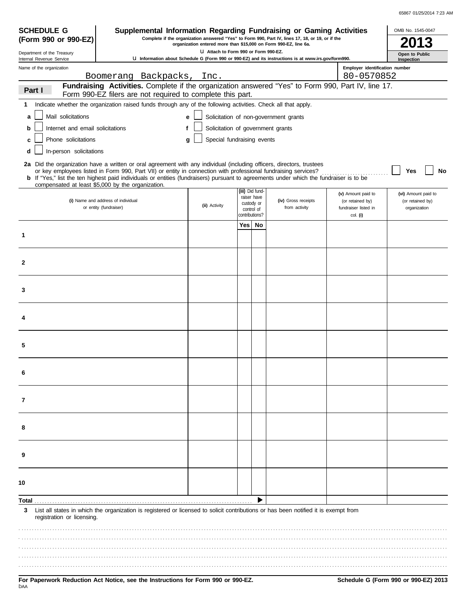| 65867 01/25/2014 7:23 AM |  |
|--------------------------|--|
|                          |  |

| <b>SCHEDULE G</b>                                                                                                                                                                                      | Supplemental Information Regarding Fundraising or Gaming Activities                                                                                                                                                                                                                                                                                                                                                                           |                                   |                |                                              |                                       |                                                                | OMB No. 1545-0047                                       |
|--------------------------------------------------------------------------------------------------------------------------------------------------------------------------------------------------------|-----------------------------------------------------------------------------------------------------------------------------------------------------------------------------------------------------------------------------------------------------------------------------------------------------------------------------------------------------------------------------------------------------------------------------------------------|-----------------------------------|----------------|----------------------------------------------|---------------------------------------|----------------------------------------------------------------|---------------------------------------------------------|
| Complete if the organization answered "Yes" to Form 990, Part IV, lines 17, 18, or 19, or if the<br>(Form 990 or 990-EZ)<br>organization entered more than \$15,000 on Form 990-EZ, line 6a.           |                                                                                                                                                                                                                                                                                                                                                                                                                                               |                                   |                |                                              |                                       |                                                                |                                                         |
| LI Attach to Form 990 or Form 990-EZ.<br>Department of the Treasury<br>U Information about Schedule G (Form 990 or 990-EZ) and its instructions is at www.irs.gov/form990.<br>Internal Revenue Service |                                                                                                                                                                                                                                                                                                                                                                                                                                               |                                   |                |                                              |                                       |                                                                | Open to Public<br>Inspection                            |
| Name of the organization                                                                                                                                                                               |                                                                                                                                                                                                                                                                                                                                                                                                                                               |                                   |                |                                              |                                       | Employer identification number                                 |                                                         |
|                                                                                                                                                                                                        | Boomerang Backpacks,<br>Fundraising Activities. Complete if the organization answered "Yes" to Form 990, Part IV, line 17.                                                                                                                                                                                                                                                                                                                    | Inc.                              |                |                                              |                                       | 80-0570852                                                     |                                                         |
| Part I                                                                                                                                                                                                 | Form 990-EZ filers are not required to complete this part.                                                                                                                                                                                                                                                                                                                                                                                    |                                   |                |                                              |                                       |                                                                |                                                         |
| 1                                                                                                                                                                                                      | Indicate whether the organization raised funds through any of the following activities. Check all that apply.                                                                                                                                                                                                                                                                                                                                 |                                   |                |                                              |                                       |                                                                |                                                         |
| Mail solicitations<br>a                                                                                                                                                                                |                                                                                                                                                                                                                                                                                                                                                                                                                                               | e                                 |                |                                              | Solicitation of non-government grants |                                                                |                                                         |
| Internet and email solicitations<br>b                                                                                                                                                                  | f                                                                                                                                                                                                                                                                                                                                                                                                                                             | Solicitation of government grants |                |                                              |                                       |                                                                |                                                         |
| Phone solicitations<br>c                                                                                                                                                                               |                                                                                                                                                                                                                                                                                                                                                                                                                                               | Special fundraising events<br>a   |                |                                              |                                       |                                                                |                                                         |
| In-person solicitations<br>d                                                                                                                                                                           |                                                                                                                                                                                                                                                                                                                                                                                                                                               |                                   |                |                                              |                                       |                                                                |                                                         |
|                                                                                                                                                                                                        | 2a Did the organization have a written or oral agreement with any individual (including officers, directors, trustees<br>or key employees listed in Form 990, Part VII) or entity in connection with professional fundraising services?<br><b>b</b> If "Yes," list the ten highest paid individuals or entities (fundraisers) pursuant to agreements under which the fundraiser is to be<br>compensated at least \$5,000 by the organization. |                                   |                |                                              |                                       |                                                                | <b>No</b><br>Yes                                        |
|                                                                                                                                                                                                        | (i) Name and address of individual<br>or entity (fundraiser)                                                                                                                                                                                                                                                                                                                                                                                  | (ii) Activity                     | control of     | (iii) Did fund-<br>raiser have<br>custody or | (iv) Gross receipts<br>from activity  | (v) Amount paid to<br>(or retained by)<br>fundraiser listed in | (vi) Amount paid to<br>(or retained by)<br>organization |
|                                                                                                                                                                                                        |                                                                                                                                                                                                                                                                                                                                                                                                                                               |                                   | contributions? | Yes   No                                     |                                       | col. (i)                                                       |                                                         |
| 1                                                                                                                                                                                                      |                                                                                                                                                                                                                                                                                                                                                                                                                                               |                                   |                |                                              |                                       |                                                                |                                                         |
|                                                                                                                                                                                                        |                                                                                                                                                                                                                                                                                                                                                                                                                                               |                                   |                |                                              |                                       |                                                                |                                                         |
| $\mathbf{2}$                                                                                                                                                                                           |                                                                                                                                                                                                                                                                                                                                                                                                                                               |                                   |                |                                              |                                       |                                                                |                                                         |
| 3                                                                                                                                                                                                      |                                                                                                                                                                                                                                                                                                                                                                                                                                               |                                   |                |                                              |                                       |                                                                |                                                         |
|                                                                                                                                                                                                        |                                                                                                                                                                                                                                                                                                                                                                                                                                               |                                   |                |                                              |                                       |                                                                |                                                         |
| 5                                                                                                                                                                                                      |                                                                                                                                                                                                                                                                                                                                                                                                                                               |                                   |                |                                              |                                       |                                                                |                                                         |
|                                                                                                                                                                                                        |                                                                                                                                                                                                                                                                                                                                                                                                                                               |                                   |                |                                              |                                       |                                                                |                                                         |
| 7                                                                                                                                                                                                      |                                                                                                                                                                                                                                                                                                                                                                                                                                               |                                   |                |                                              |                                       |                                                                |                                                         |
| 8                                                                                                                                                                                                      |                                                                                                                                                                                                                                                                                                                                                                                                                                               |                                   |                |                                              |                                       |                                                                |                                                         |
| 9                                                                                                                                                                                                      |                                                                                                                                                                                                                                                                                                                                                                                                                                               |                                   |                |                                              |                                       |                                                                |                                                         |
| 10                                                                                                                                                                                                     |                                                                                                                                                                                                                                                                                                                                                                                                                                               |                                   |                |                                              |                                       |                                                                |                                                         |
| Total .                                                                                                                                                                                                |                                                                                                                                                                                                                                                                                                                                                                                                                                               |                                   |                |                                              |                                       |                                                                |                                                         |
| 3<br>registration or licensing.                                                                                                                                                                        | List all states in which the organization is registered or licensed to solicit contributions or has been notified it is exempt from                                                                                                                                                                                                                                                                                                           |                                   |                |                                              |                                       |                                                                |                                                         |
|                                                                                                                                                                                                        |                                                                                                                                                                                                                                                                                                                                                                                                                                               |                                   |                |                                              |                                       |                                                                |                                                         |
|                                                                                                                                                                                                        |                                                                                                                                                                                                                                                                                                                                                                                                                                               |                                   |                |                                              |                                       |                                                                |                                                         |
|                                                                                                                                                                                                        |                                                                                                                                                                                                                                                                                                                                                                                                                                               |                                   |                |                                              |                                       |                                                                |                                                         |
|                                                                                                                                                                                                        |                                                                                                                                                                                                                                                                                                                                                                                                                                               |                                   |                |                                              |                                       |                                                                |                                                         |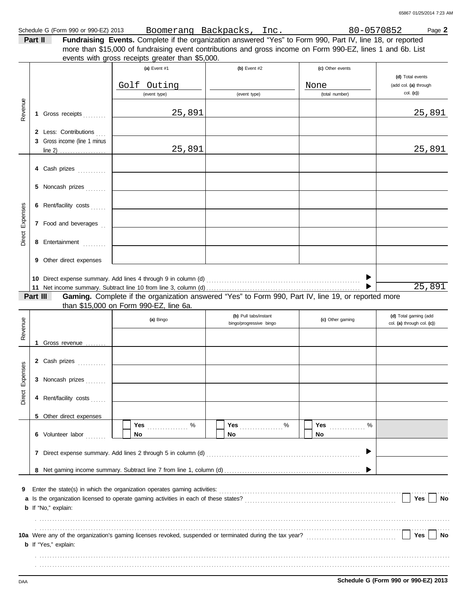| Schedule G (I<br>990 or 990-EZ) 2013<br>(Form | 300merang | akpoaka<br>Backpacks | Inc | $^{\prime}$ 1.<br>0 I<br>70852 | Page. |
|-----------------------------------------------|-----------|----------------------|-----|--------------------------------|-------|
|                                               |           |                      |     |                                |       |

| Part II | Fundraising Events. Complete if the organization answered "Yes" to Form 990, Part IV, line 18, or reported  |
|---------|-------------------------------------------------------------------------------------------------------------|
|         | more than \$15,000 of fundraising event contributions and gross income on Form 990-EZ, lines 1 and 6b. List |

events with gross receipts greater than \$5,000.

|                 |          |                              | (a) Event #1                                                                                                                                                                                                         | (b) Event $#2$          | (c) Other events |                            |
|-----------------|----------|------------------------------|----------------------------------------------------------------------------------------------------------------------------------------------------------------------------------------------------------------------|-------------------------|------------------|----------------------------|
|                 |          |                              |                                                                                                                                                                                                                      |                         |                  | (d) Total events           |
|                 |          |                              | Golf Outing                                                                                                                                                                                                          |                         | None             | (add col. (a) through      |
|                 |          |                              | (event type)                                                                                                                                                                                                         | (event type)            | (total number)   | col. (c)                   |
|                 |          |                              |                                                                                                                                                                                                                      |                         |                  |                            |
| Revenue         |          | 1 Gross receipts             | 25,891                                                                                                                                                                                                               |                         |                  | 25,891                     |
|                 |          |                              |                                                                                                                                                                                                                      |                         |                  |                            |
|                 |          |                              |                                                                                                                                                                                                                      |                         |                  |                            |
|                 |          | 2 Less: Contributions        |                                                                                                                                                                                                                      |                         |                  |                            |
|                 |          | 3 Gross income (line 1 minus |                                                                                                                                                                                                                      |                         |                  |                            |
|                 |          |                              | 25,891                                                                                                                                                                                                               |                         |                  | 25,891                     |
|                 |          |                              |                                                                                                                                                                                                                      |                         |                  |                            |
|                 |          | 4 Cash prizes                |                                                                                                                                                                                                                      |                         |                  |                            |
|                 |          |                              |                                                                                                                                                                                                                      |                         |                  |                            |
|                 |          | 5 Noncash prizes             |                                                                                                                                                                                                                      |                         |                  |                            |
|                 |          |                              |                                                                                                                                                                                                                      |                         |                  |                            |
|                 |          | 6 Rent/facility costs        |                                                                                                                                                                                                                      |                         |                  |                            |
|                 |          |                              |                                                                                                                                                                                                                      |                         |                  |                            |
| Direct Expenses |          | 7 Food and beverages         |                                                                                                                                                                                                                      |                         |                  |                            |
|                 |          |                              |                                                                                                                                                                                                                      |                         |                  |                            |
|                 |          |                              |                                                                                                                                                                                                                      |                         |                  |                            |
|                 |          | 8 Entertainment              |                                                                                                                                                                                                                      |                         |                  |                            |
|                 |          |                              |                                                                                                                                                                                                                      |                         |                  |                            |
|                 |          | 9 Other direct expenses      |                                                                                                                                                                                                                      |                         |                  |                            |
|                 |          |                              |                                                                                                                                                                                                                      |                         |                  |                            |
|                 |          |                              |                                                                                                                                                                                                                      |                         |                  |                            |
|                 |          |                              |                                                                                                                                                                                                                      |                         |                  | 25,891                     |
|                 | Part III |                              | Gaming. Complete if the organization answered "Yes" to Form 990, Part IV, line 19, or reported more                                                                                                                  |                         |                  |                            |
|                 |          |                              | than \$15,000 on Form 990-EZ, line 6a.                                                                                                                                                                               |                         |                  |                            |
|                 |          |                              | (a) Bingo                                                                                                                                                                                                            | (b) Pull tabs/instant   | (c) Other gaming | (d) Total gaming (add      |
| Revenue         |          |                              |                                                                                                                                                                                                                      | bingo/progressive bingo |                  | col. (a) through col. (c)) |
|                 |          |                              |                                                                                                                                                                                                                      |                         |                  |                            |
|                 |          | 1 Gross revenue              |                                                                                                                                                                                                                      |                         |                  |                            |
|                 |          |                              |                                                                                                                                                                                                                      |                         |                  |                            |
|                 |          | 2 Cash prizes                |                                                                                                                                                                                                                      |                         |                  |                            |
|                 |          |                              |                                                                                                                                                                                                                      |                         |                  |                            |
| Direct Expenses |          | 3 Noncash prizes             |                                                                                                                                                                                                                      |                         |                  |                            |
|                 |          |                              |                                                                                                                                                                                                                      |                         |                  |                            |
|                 |          | 4 Rent/facility costs        |                                                                                                                                                                                                                      |                         |                  |                            |
|                 |          |                              |                                                                                                                                                                                                                      |                         |                  |                            |
|                 |          |                              |                                                                                                                                                                                                                      |                         |                  |                            |
|                 |          | 5 Other direct expenses      |                                                                                                                                                                                                                      |                         |                  |                            |
|                 |          |                              | %<br><b>Yes</b>                                                                                                                                                                                                      | Yes $\%$                | <b>Yes</b><br>%  |                            |
|                 |          | 6 Volunteer labor            | No                                                                                                                                                                                                                   | No                      | No               |                            |
|                 |          |                              |                                                                                                                                                                                                                      |                         |                  |                            |
|                 |          |                              |                                                                                                                                                                                                                      |                         |                  |                            |
|                 |          |                              |                                                                                                                                                                                                                      |                         |                  |                            |
|                 |          |                              |                                                                                                                                                                                                                      |                         |                  |                            |
|                 |          |                              |                                                                                                                                                                                                                      |                         |                  |                            |
| 9               |          |                              | Enter the state(s) in which the organization operates gaming activities:                                                                                                                                             |                         |                  |                            |
|                 |          |                              |                                                                                                                                                                                                                      |                         |                  | Yes<br>No                  |
|                 |          | <b>b</b> If "No," explain:   |                                                                                                                                                                                                                      |                         |                  |                            |
|                 |          |                              |                                                                                                                                                                                                                      |                         |                  |                            |
|                 |          |                              |                                                                                                                                                                                                                      |                         |                  |                            |
|                 |          |                              | 10a Were any of the organization's gaming licenses revoked, suspended or terminated during the tax year?<br>10a Were any of the organization's gaming licenses revoked, suspended or terminated during the tax year? |                         |                  | Yes<br>No                  |
|                 |          | <b>b</b> If "Yes," explain:  |                                                                                                                                                                                                                      |                         |                  |                            |
|                 |          |                              |                                                                                                                                                                                                                      |                         |                  |                            |
|                 |          |                              |                                                                                                                                                                                                                      |                         |                  |                            |
|                 |          |                              |                                                                                                                                                                                                                      |                         |                  |                            |
|                 |          |                              |                                                                                                                                                                                                                      |                         |                  |                            |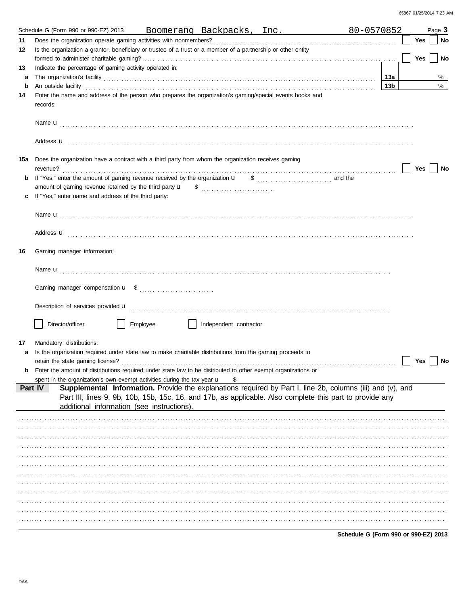|     | 80-0570852<br>Schedule G (Form 990 or 990-EZ) 2013<br>Boomerang Backpacks, Inc.                                                                                                                                                     |                 |            | Page 3 |
|-----|-------------------------------------------------------------------------------------------------------------------------------------------------------------------------------------------------------------------------------------|-----------------|------------|--------|
| 11  |                                                                                                                                                                                                                                     |                 | <b>Yes</b> | No     |
| 12  | Is the organization a grantor, beneficiary or trustee of a trust or a member of a partnership or other entity                                                                                                                       |                 |            |        |
|     |                                                                                                                                                                                                                                     |                 | <b>Yes</b> | No     |
| 13  | Indicate the percentage of gaming activity operated in:                                                                                                                                                                             |                 |            |        |
| a   |                                                                                                                                                                                                                                     | 13а             |            | %      |
| b   | An outside facility with the contract of the contract of the contract of the contract of the contract of the contract of the contract of the contract of the contract of the contract of the contract of the contract of the c      | 13 <sub>b</sub> |            | $\%$   |
| 14  | Enter the name and address of the person who prepares the organization's gaming/special events books and<br>records:                                                                                                                |                 |            |        |
|     |                                                                                                                                                                                                                                     |                 |            |        |
|     | Address <b>u</b>                                                                                                                                                                                                                    |                 |            |        |
| 15a | Does the organization have a contract with a third party from whom the organization receives gaming                                                                                                                                 |                 | Yes        | No     |
| b   |                                                                                                                                                                                                                                     |                 |            |        |
|     |                                                                                                                                                                                                                                     |                 |            |        |
| c   | If "Yes," enter name and address of the third party:                                                                                                                                                                                |                 |            |        |
|     |                                                                                                                                                                                                                                     |                 |            |        |
|     |                                                                                                                                                                                                                                     |                 |            |        |
|     |                                                                                                                                                                                                                                     |                 |            |        |
|     | Address <b>u</b>                                                                                                                                                                                                                    |                 |            |        |
| 16  | Gaming manager information:                                                                                                                                                                                                         |                 |            |        |
|     |                                                                                                                                                                                                                                     |                 |            |        |
|     |                                                                                                                                                                                                                                     |                 |            |        |
|     | Description of services provided <b>u</b> entertainment contains a service of the service of the services and contained with the services of the services of the services of the services of the service of the service of the serv |                 |            |        |
|     | Director/officer<br>Employee<br>Independent contractor                                                                                                                                                                              |                 |            |        |
|     |                                                                                                                                                                                                                                     |                 |            |        |
| 17  | Mandatory distributions:                                                                                                                                                                                                            |                 |            |        |
| a   | Is the organization required under state law to make charitable distributions from the gaming proceeds to                                                                                                                           |                 |            |        |
|     |                                                                                                                                                                                                                                     |                 | Yes        | No     |
| b   | Enter the amount of distributions required under state law to be distributed to other exempt organizations or                                                                                                                       |                 |            |        |
|     | spent in the organization's own exempt activities during the tax year $\mathbf u$<br>\$                                                                                                                                             |                 |            |        |
|     | Supplemental Information. Provide the explanations required by Part I, line 2b, columns (iii) and (v), and<br>Part IV                                                                                                               |                 |            |        |
|     | Part III, lines 9, 9b, 10b, 15b, 15c, 16, and 17b, as applicable. Also complete this part to provide any<br>additional information (see instructions).                                                                              |                 |            |        |
|     |                                                                                                                                                                                                                                     |                 |            |        |
|     |                                                                                                                                                                                                                                     |                 |            |        |
|     |                                                                                                                                                                                                                                     |                 |            |        |
|     |                                                                                                                                                                                                                                     |                 |            |        |
|     |                                                                                                                                                                                                                                     |                 |            |        |
|     |                                                                                                                                                                                                                                     |                 |            |        |
|     |                                                                                                                                                                                                                                     |                 |            |        |
|     |                                                                                                                                                                                                                                     |                 |            |        |
|     |                                                                                                                                                                                                                                     |                 |            |        |
|     |                                                                                                                                                                                                                                     |                 |            |        |
|     |                                                                                                                                                                                                                                     |                 |            |        |
|     |                                                                                                                                                                                                                                     |                 |            |        |
|     |                                                                                                                                                                                                                                     |                 |            |        |

Schedule G (Form 990 or 990-EZ) 2013